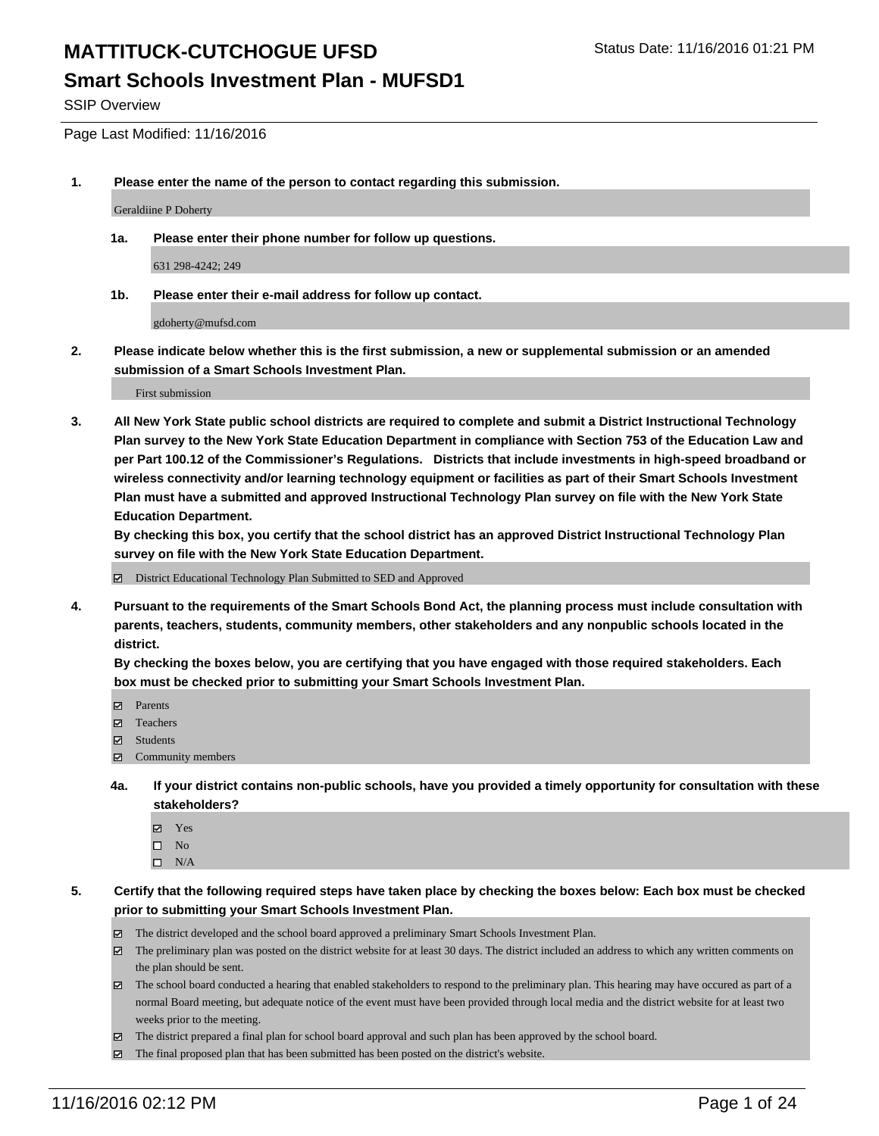SSIP Overview

Page Last Modified: 11/16/2016

**1. Please enter the name of the person to contact regarding this submission.**

Geraldiine P Doherty

**1a. Please enter their phone number for follow up questions.**

631 298-4242; 249

**1b. Please enter their e-mail address for follow up contact.**

gdoherty@mufsd.com

**2. Please indicate below whether this is the first submission, a new or supplemental submission or an amended submission of a Smart Schools Investment Plan.**

First submission

**3. All New York State public school districts are required to complete and submit a District Instructional Technology Plan survey to the New York State Education Department in compliance with Section 753 of the Education Law and per Part 100.12 of the Commissioner's Regulations. Districts that include investments in high-speed broadband or wireless connectivity and/or learning technology equipment or facilities as part of their Smart Schools Investment Plan must have a submitted and approved Instructional Technology Plan survey on file with the New York State Education Department.** 

**By checking this box, you certify that the school district has an approved District Instructional Technology Plan survey on file with the New York State Education Department.**

District Educational Technology Plan Submitted to SED and Approved

**4. Pursuant to the requirements of the Smart Schools Bond Act, the planning process must include consultation with parents, teachers, students, community members, other stakeholders and any nonpublic schools located in the district.** 

**By checking the boxes below, you are certifying that you have engaged with those required stakeholders. Each box must be checked prior to submitting your Smart Schools Investment Plan.**

- Parents
- □ Teachers
- $\boxtimes$  Students
- Community members
- **4a. If your district contains non-public schools, have you provided a timely opportunity for consultation with these stakeholders?**
	- Yes  $\square$  No
	- $\square$  N/A
- **5. Certify that the following required steps have taken place by checking the boxes below: Each box must be checked prior to submitting your Smart Schools Investment Plan.**
	- The district developed and the school board approved a preliminary Smart Schools Investment Plan.
	- The preliminary plan was posted on the district website for at least 30 days. The district included an address to which any written comments on the plan should be sent.
	- $\boxtimes$  The school board conducted a hearing that enabled stakeholders to respond to the preliminary plan. This hearing may have occured as part of a normal Board meeting, but adequate notice of the event must have been provided through local media and the district website for at least two weeks prior to the meeting.
	- The district prepared a final plan for school board approval and such plan has been approved by the school board.
	- $\boxtimes$  The final proposed plan that has been submitted has been posted on the district's website.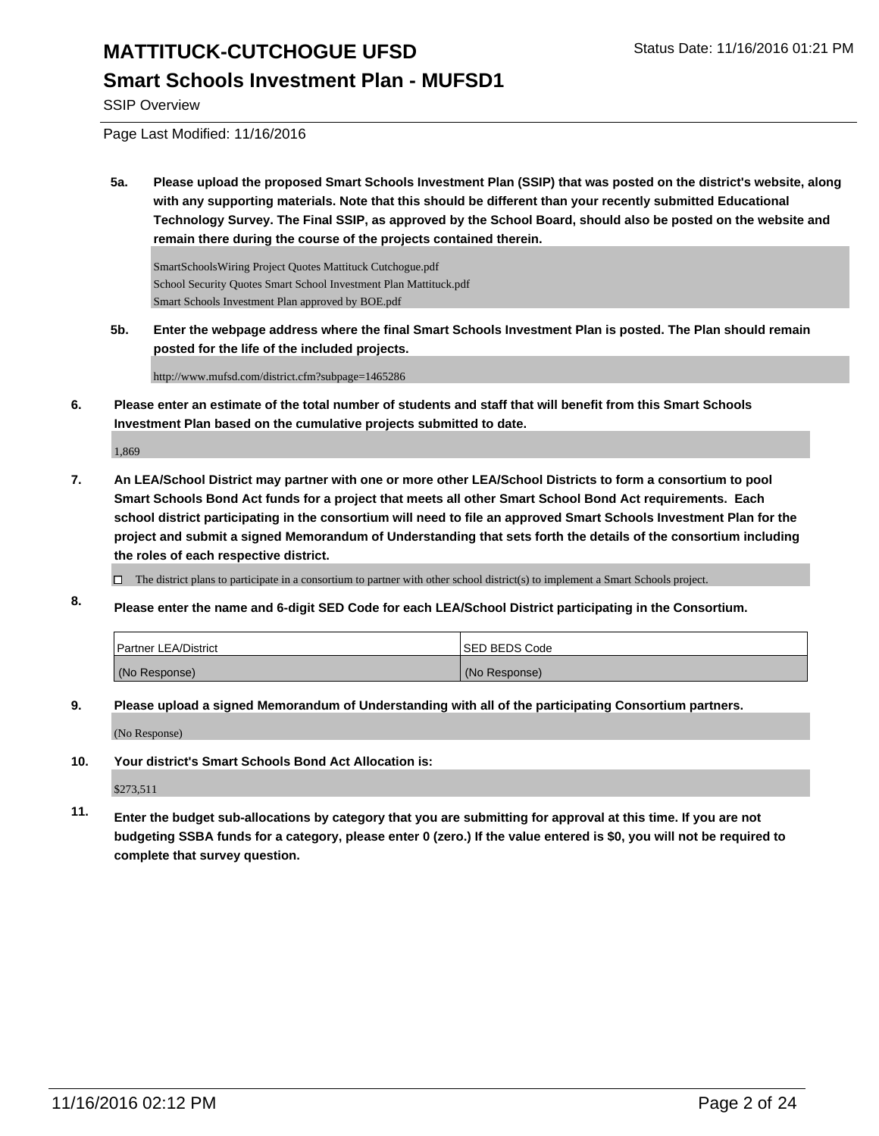#### **Smart Schools Investment Plan - MUFSD1**

SSIP Overview

Page Last Modified: 11/16/2016

**5a. Please upload the proposed Smart Schools Investment Plan (SSIP) that was posted on the district's website, along with any supporting materials. Note that this should be different than your recently submitted Educational Technology Survey. The Final SSIP, as approved by the School Board, should also be posted on the website and remain there during the course of the projects contained therein.**

SmartSchoolsWiring Project Quotes Mattituck Cutchogue.pdf School Security Quotes Smart School Investment Plan Mattituck.pdf Smart Schools Investment Plan approved by BOE.pdf

**5b. Enter the webpage address where the final Smart Schools Investment Plan is posted. The Plan should remain posted for the life of the included projects.**

http://www.mufsd.com/district.cfm?subpage=1465286

**6. Please enter an estimate of the total number of students and staff that will benefit from this Smart Schools Investment Plan based on the cumulative projects submitted to date.**

1,869

**7. An LEA/School District may partner with one or more other LEA/School Districts to form a consortium to pool Smart Schools Bond Act funds for a project that meets all other Smart School Bond Act requirements. Each school district participating in the consortium will need to file an approved Smart Schools Investment Plan for the project and submit a signed Memorandum of Understanding that sets forth the details of the consortium including the roles of each respective district.**

 $\Box$  The district plans to participate in a consortium to partner with other school district(s) to implement a Smart Schools project.

**8. Please enter the name and 6-digit SED Code for each LEA/School District participating in the Consortium.**

| <b>Partner LEA/District</b> | ISED BEDS Code |
|-----------------------------|----------------|
| (No Response)               | (No Response)  |

**9. Please upload a signed Memorandum of Understanding with all of the participating Consortium partners.**

(No Response)

**10. Your district's Smart Schools Bond Act Allocation is:**

\$273,511

**11. Enter the budget sub-allocations by category that you are submitting for approval at this time. If you are not budgeting SSBA funds for a category, please enter 0 (zero.) If the value entered is \$0, you will not be required to complete that survey question.**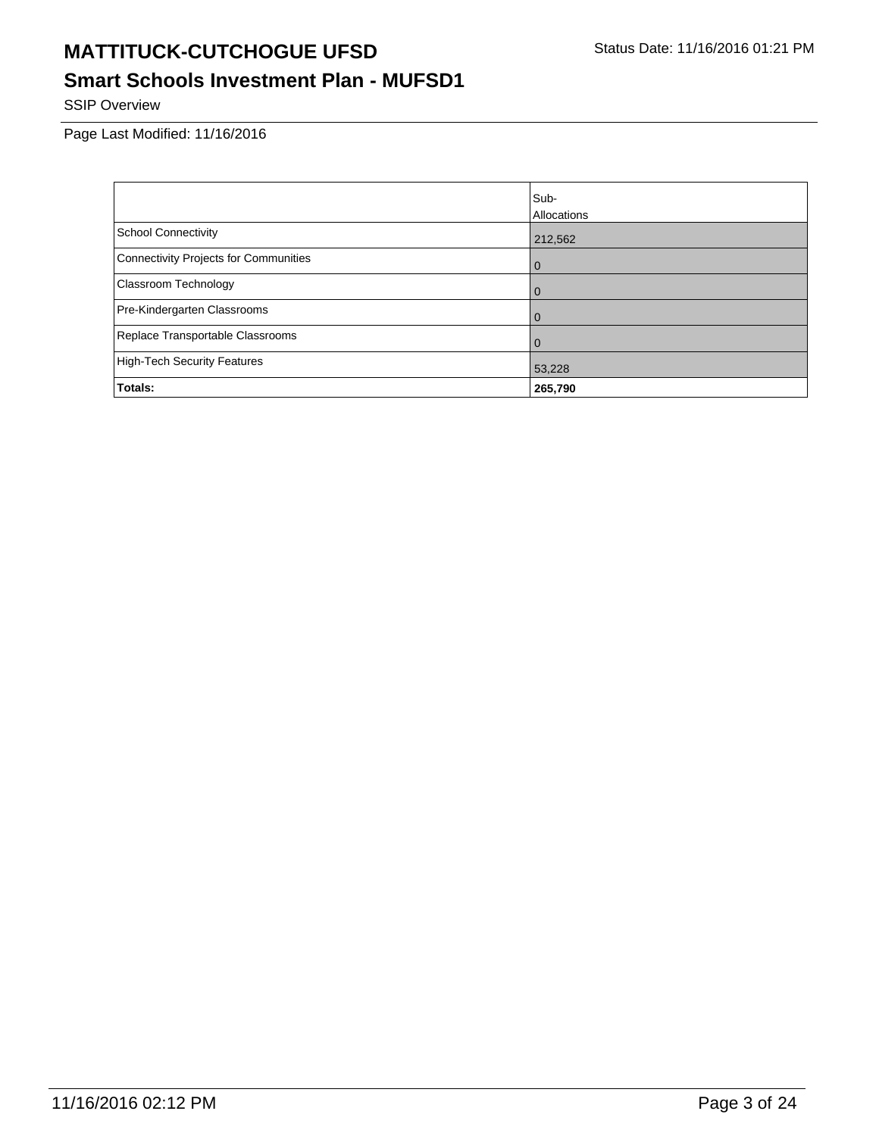# **Smart Schools Investment Plan - MUFSD1**

SSIP Overview

|                                              | Sub-        |
|----------------------------------------------|-------------|
|                                              | Allocations |
| <b>School Connectivity</b>                   | 212,562     |
| <b>Connectivity Projects for Communities</b> | l 0         |
| Classroom Technology                         | l 0         |
| Pre-Kindergarten Classrooms                  | l 0         |
| Replace Transportable Classrooms             | l 0         |
| <b>High-Tech Security Features</b>           | 53,228      |
| Totals:                                      | 265,790     |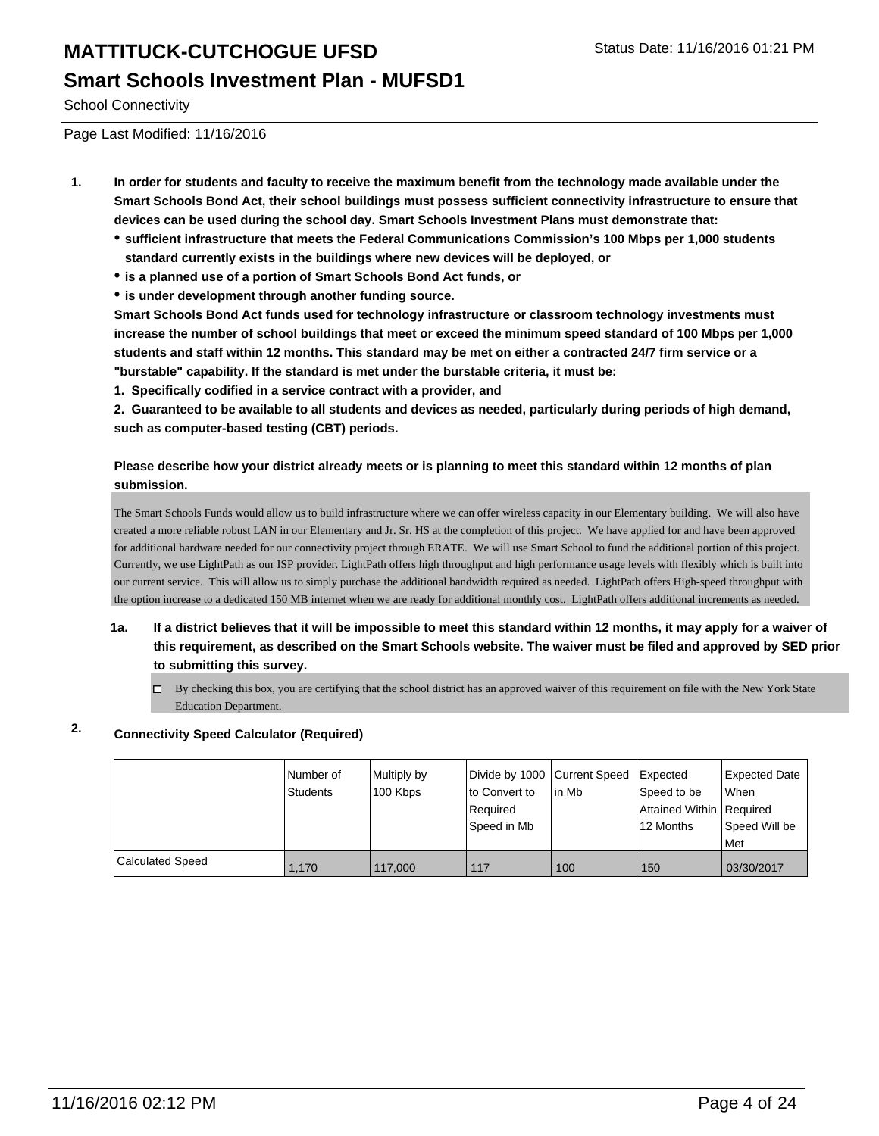School Connectivity

Page Last Modified: 11/16/2016

- **1. In order for students and faculty to receive the maximum benefit from the technology made available under the Smart Schools Bond Act, their school buildings must possess sufficient connectivity infrastructure to ensure that devices can be used during the school day. Smart Schools Investment Plans must demonstrate that:**
	- **sufficient infrastructure that meets the Federal Communications Commission's 100 Mbps per 1,000 students standard currently exists in the buildings where new devices will be deployed, or**
	- **is a planned use of a portion of Smart Schools Bond Act funds, or**
	- **is under development through another funding source.**

**Smart Schools Bond Act funds used for technology infrastructure or classroom technology investments must increase the number of school buildings that meet or exceed the minimum speed standard of 100 Mbps per 1,000 students and staff within 12 months. This standard may be met on either a contracted 24/7 firm service or a "burstable" capability. If the standard is met under the burstable criteria, it must be:**

**1. Specifically codified in a service contract with a provider, and**

**2. Guaranteed to be available to all students and devices as needed, particularly during periods of high demand, such as computer-based testing (CBT) periods.**

#### **Please describe how your district already meets or is planning to meet this standard within 12 months of plan submission.**

The Smart Schools Funds would allow us to build infrastructure where we can offer wireless capacity in our Elementary building. We will also have created a more reliable robust LAN in our Elementary and Jr. Sr. HS at the completion of this project. We have applied for and have been approved for additional hardware needed for our connectivity project through ERATE. We will use Smart School to fund the additional portion of this project. Currently, we use LightPath as our ISP provider. LightPath offers high throughput and high performance usage levels with flexibly which is built into our current service. This will allow us to simply purchase the additional bandwidth required as needed. LightPath offers High-speed throughput with the option increase to a dedicated 150 MB internet when we are ready for additional monthly cost. LightPath offers additional increments as needed.

- **1a. If a district believes that it will be impossible to meet this standard within 12 months, it may apply for a waiver of this requirement, as described on the Smart Schools website. The waiver must be filed and approved by SED prior to submitting this survey.**
	- $\Box$  By checking this box, you are certifying that the school district has an approved waiver of this requirement on file with the New York State Education Department.

#### **2. Connectivity Speed Calculator (Required)**

|                         | Number of<br>Students | Multiply by<br>100 Kbps | Divide by 1000 Current Speed<br>to Convert to<br>Required<br>Speed in Mb | lin Mb | <b>Expected</b><br>Speed to be<br>Attained Within   Required<br>12 Months | Expected Date<br><b>When</b><br>Speed Will be<br><b>Met</b> |
|-------------------------|-----------------------|-------------------------|--------------------------------------------------------------------------|--------|---------------------------------------------------------------------------|-------------------------------------------------------------|
| <b>Calculated Speed</b> | 1.170                 | 117,000                 | 117                                                                      | 100    | 150                                                                       | 03/30/2017                                                  |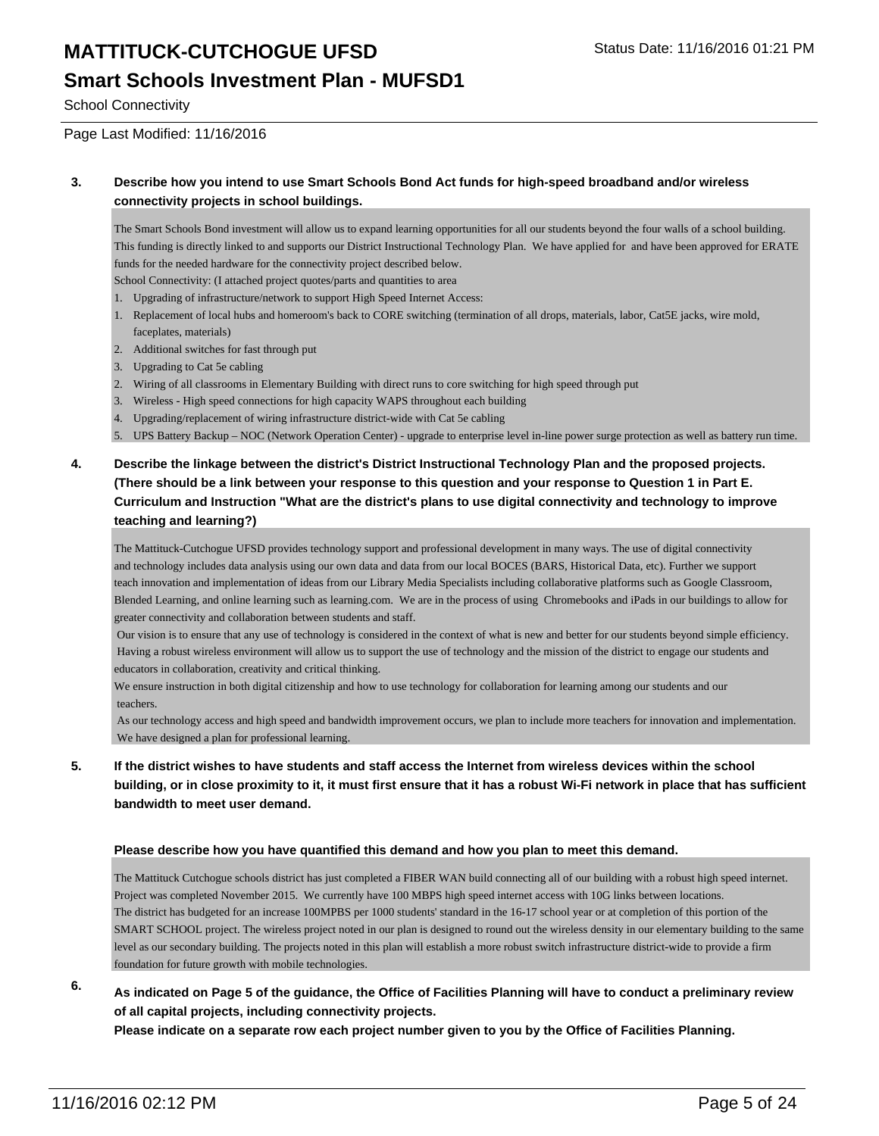### **Smart Schools Investment Plan - MUFSD1**

School Connectivity

Page Last Modified: 11/16/2016

#### **3. Describe how you intend to use Smart Schools Bond Act funds for high-speed broadband and/or wireless connectivity projects in school buildings.**

The Smart Schools Bond investment will allow us to expand learning opportunities for all our students beyond the four walls of a school building. This funding is directly linked to and supports our District Instructional Technology Plan. We have applied for and have been approved for ERATE funds for the needed hardware for the connectivity project described below.

School Connectivity: (I attached project quotes/parts and quantities to area

- 1. Upgrading of infrastructure/network to support High Speed Internet Access:
- 1. Replacement of local hubs and homeroom's back to CORE switching (termination of all drops, materials, labor, Cat5E jacks, wire mold, faceplates, materials)
- 2. Additional switches for fast through put
- 3. Upgrading to Cat 5e cabling
- 2. Wiring of all classrooms in Elementary Building with direct runs to core switching for high speed through put
- 3. Wireless High speed connections for high capacity WAPS throughout each building
- 4. Upgrading/replacement of wiring infrastructure district-wide with Cat 5e cabling
- 5. UPS Battery Backup NOC (Network Operation Center) upgrade to enterprise level in-line power surge protection as well as battery run time.
- **4. Describe the linkage between the district's District Instructional Technology Plan and the proposed projects. (There should be a link between your response to this question and your response to Question 1 in Part E. Curriculum and Instruction "What are the district's plans to use digital connectivity and technology to improve teaching and learning?)**

The Mattituck-Cutchogue UFSD provides technology support and professional development in many ways. The use of digital connectivity and technology includes data analysis using our own data and data from our local BOCES (BARS, Historical Data, etc). Further we support teach innovation and implementation of ideas from our Library Media Specialists including collaborative platforms such as Google Classroom, Blended Learning, and online learning such as learning.com. We are in the process of using Chromebooks and iPads in our buildings to allow for greater connectivity and collaboration between students and staff.

 Our vision is to ensure that any use of technology is considered in the context of what is new and better for our students beyond simple efficiency. Having a robust wireless environment will allow us to support the use of technology and the mission of the district to engage our students and educators in collaboration, creativity and critical thinking.

We ensure instruction in both digital citizenship and how to use technology for collaboration for learning among our students and our teachers.

 As our technology access and high speed and bandwidth improvement occurs, we plan to include more teachers for innovation and implementation. We have designed a plan for professional learning.

**5. If the district wishes to have students and staff access the Internet from wireless devices within the school building, or in close proximity to it, it must first ensure that it has a robust Wi-Fi network in place that has sufficient bandwidth to meet user demand.**

#### **Please describe how you have quantified this demand and how you plan to meet this demand.**

The Mattituck Cutchogue schools district has just completed a FIBER WAN build connecting all of our building with a robust high speed internet. Project was completed November 2015. We currently have 100 MBPS high speed internet access with 10G links between locations. The district has budgeted for an increase 100MPBS per 1000 students' standard in the 16-17 school year or at completion of this portion of the SMART SCHOOL project. The wireless project noted in our plan is designed to round out the wireless density in our elementary building to the same level as our secondary building. The projects noted in this plan will establish a more robust switch infrastructure district-wide to provide a firm foundation for future growth with mobile technologies.

#### **6. As indicated on Page 5 of the guidance, the Office of Facilities Planning will have to conduct a preliminary review of all capital projects, including connectivity projects.**

**Please indicate on a separate row each project number given to you by the Office of Facilities Planning.**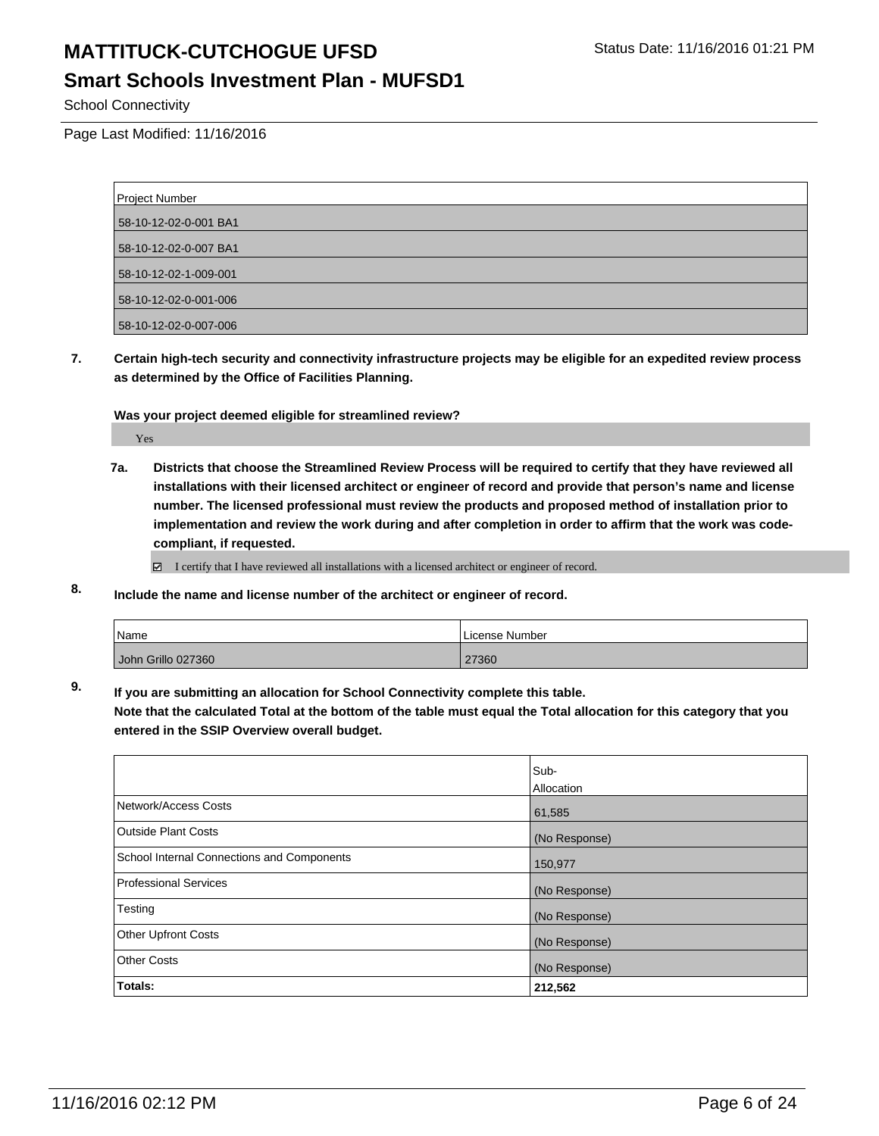#### **Smart Schools Investment Plan - MUFSD1**

School Connectivity

Page Last Modified: 11/16/2016

| <b>Project Number</b> |  |
|-----------------------|--|
| 58-10-12-02-0-001 BA1 |  |
| 58-10-12-02-0-007 BA1 |  |
| 58-10-12-02-1-009-001 |  |
| 58-10-12-02-0-001-006 |  |
| 58-10-12-02-0-007-006 |  |

**7. Certain high-tech security and connectivity infrastructure projects may be eligible for an expedited review process as determined by the Office of Facilities Planning.**

#### **Was your project deemed eligible for streamlined review?**

Yes

**7a. Districts that choose the Streamlined Review Process will be required to certify that they have reviewed all installations with their licensed architect or engineer of record and provide that person's name and license number. The licensed professional must review the products and proposed method of installation prior to implementation and review the work during and after completion in order to affirm that the work was codecompliant, if requested.**

 $\Box$  I certify that I have reviewed all installations with a licensed architect or engineer of record.

**8. Include the name and license number of the architect or engineer of record.**

| <i>Name</i>        | License Number |
|--------------------|----------------|
| John Grillo 027360 | 27360          |

**9. If you are submitting an allocation for School Connectivity complete this table.**

**Note that the calculated Total at the bottom of the table must equal the Total allocation for this category that you entered in the SSIP Overview overall budget.** 

|                                            | Sub-<br>Allocation |
|--------------------------------------------|--------------------|
| Network/Access Costs                       | 61,585             |
| <b>Outside Plant Costs</b>                 | (No Response)      |
| School Internal Connections and Components | 150,977            |
| <b>Professional Services</b>               | (No Response)      |
| Testing                                    | (No Response)      |
| <b>Other Upfront Costs</b>                 | (No Response)      |
| <b>Other Costs</b>                         | (No Response)      |
| Totals:                                    | 212,562            |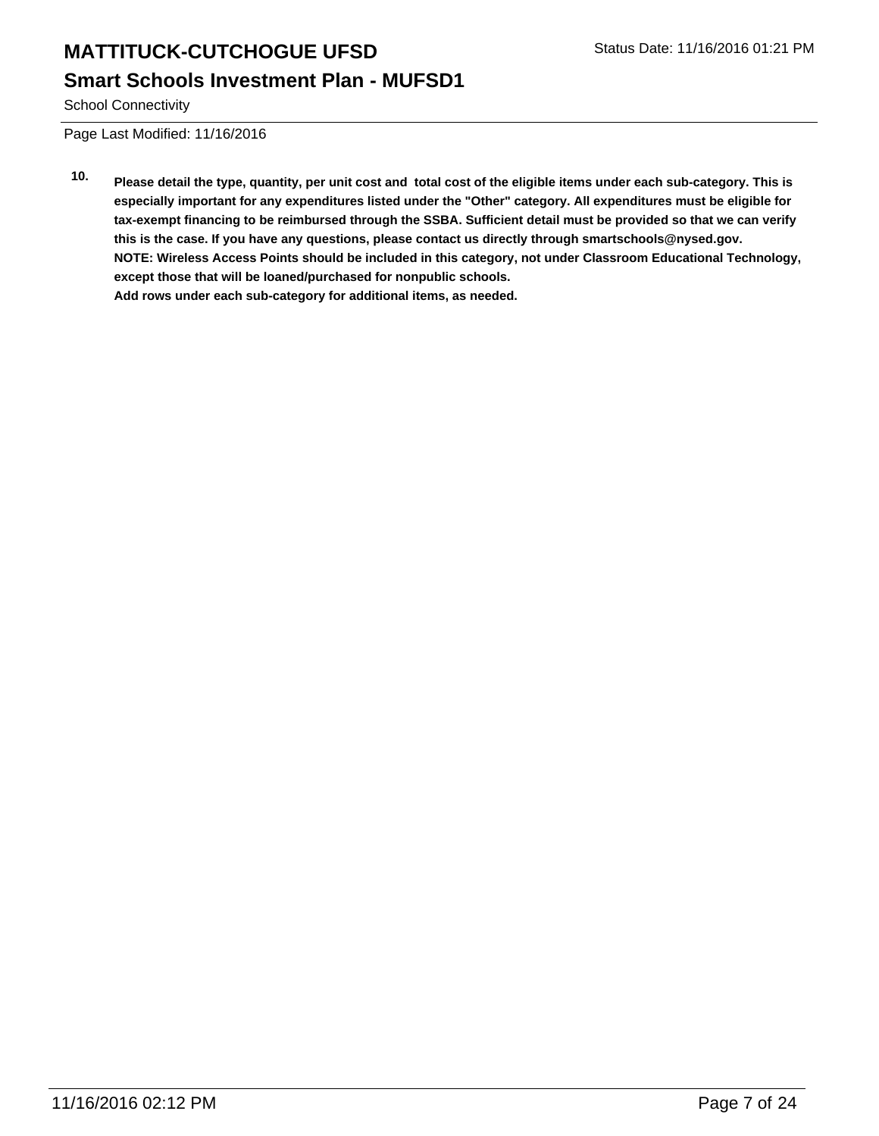**Smart Schools Investment Plan - MUFSD1**

School Connectivity

Page Last Modified: 11/16/2016

**10. Please detail the type, quantity, per unit cost and total cost of the eligible items under each sub-category. This is especially important for any expenditures listed under the "Other" category. All expenditures must be eligible for tax-exempt financing to be reimbursed through the SSBA. Sufficient detail must be provided so that we can verify this is the case. If you have any questions, please contact us directly through smartschools@nysed.gov. NOTE: Wireless Access Points should be included in this category, not under Classroom Educational Technology, except those that will be loaned/purchased for nonpublic schools. Add rows under each sub-category for additional items, as needed.**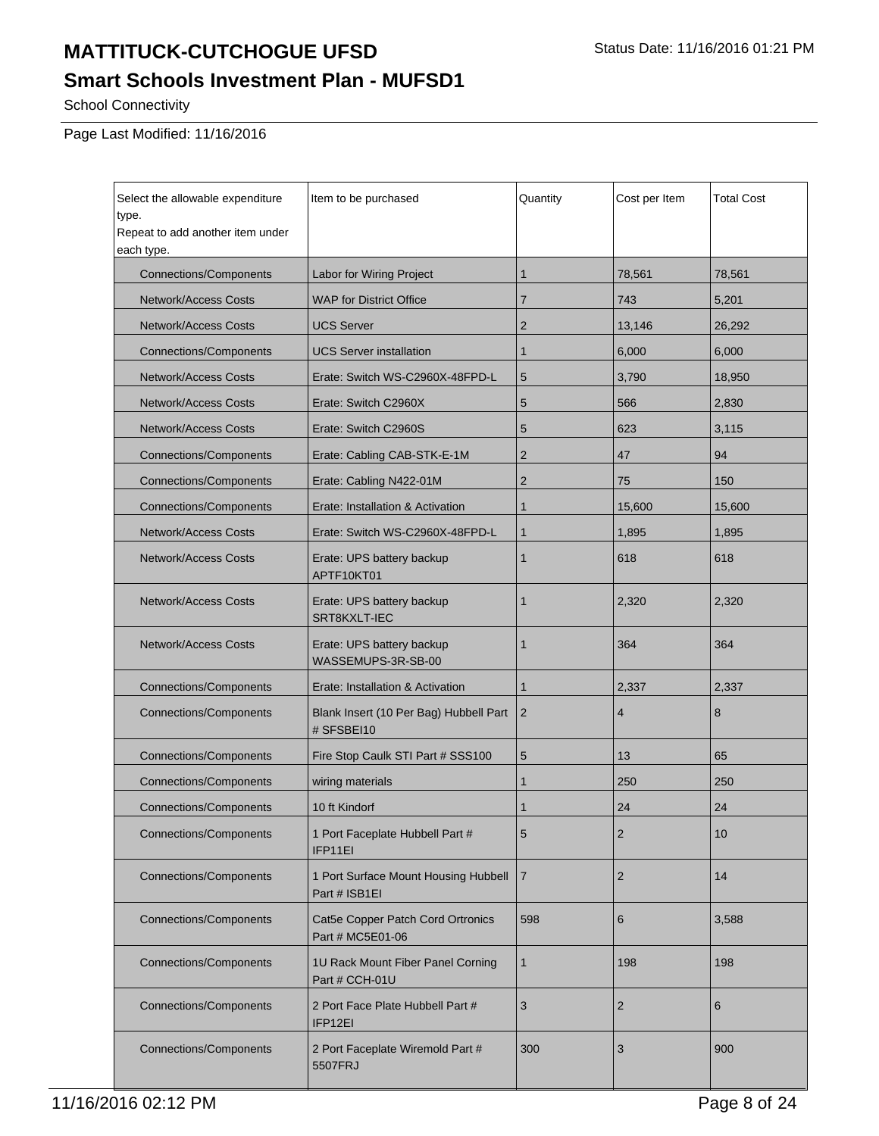# **Smart Schools Investment Plan - MUFSD1**

School Connectivity

| Select the allowable expenditure<br>type.<br>Repeat to add another item under<br>each type. | Item to be purchased                                  | Quantity       | Cost per Item  | <b>Total Cost</b> |
|---------------------------------------------------------------------------------------------|-------------------------------------------------------|----------------|----------------|-------------------|
| <b>Connections/Components</b>                                                               | Labor for Wiring Project                              | $\mathbf{1}$   | 78,561         | 78,561            |
| <b>Network/Access Costs</b>                                                                 | <b>WAP for District Office</b>                        | 7              | 743            | 5,201             |
| <b>Network/Access Costs</b>                                                                 | <b>UCS Server</b>                                     | $\overline{2}$ | 13,146         | 26,292            |
| <b>Connections/Components</b>                                                               | <b>UCS Server installation</b>                        | $\mathbf{1}$   | 6,000          | 6,000             |
| Network/Access Costs                                                                        | Erate: Switch WS-C2960X-48FPD-L                       | 5              | 3.790          | 18,950            |
| <b>Network/Access Costs</b>                                                                 | Erate: Switch C2960X                                  | 5              | 566            | 2,830             |
| <b>Network/Access Costs</b>                                                                 | Erate: Switch C2960S                                  | 5              | 623            | 3,115             |
| <b>Connections/Components</b>                                                               | Erate: Cabling CAB-STK-E-1M                           | $\overline{2}$ | 47             | 94                |
| <b>Connections/Components</b>                                                               | Erate: Cabling N422-01M                               | $\overline{2}$ | 75             | 150               |
| <b>Connections/Components</b>                                                               | Erate: Installation & Activation                      | 1              | 15,600         | 15,600            |
| <b>Network/Access Costs</b>                                                                 | Erate: Switch WS-C2960X-48FPD-L                       | $\mathbf{1}$   | 1,895          | 1,895             |
| <b>Network/Access Costs</b>                                                                 | Erate: UPS battery backup<br>APTF10KT01               | $\mathbf{1}$   | 618            | 618               |
| <b>Network/Access Costs</b>                                                                 | Erate: UPS battery backup<br>SRT8KXLT-IEC             | $\mathbf{1}$   | 2,320          | 2,320             |
| <b>Network/Access Costs</b>                                                                 | Erate: UPS battery backup<br>WASSEMUPS-3R-SB-00       | $\mathbf{1}$   | 364            | 364               |
| <b>Connections/Components</b>                                                               | Erate: Installation & Activation                      | 1              | 2,337          | 2,337             |
| <b>Connections/Components</b>                                                               | Blank Insert (10 Per Bag) Hubbell Part<br># SFSBEI10  | $\overline{2}$ | 4              | 8                 |
| <b>Connections/Components</b>                                                               | Fire Stop Caulk STI Part # SSS100                     | 5              | 13             | 65                |
| <b>Connections/Components</b>                                                               | wiring materials                                      | 1              | 250            | 250               |
| <b>Connections/Components</b>                                                               | 10 ft Kindorf                                         | $\mathbf{1}$   | 24             | 24                |
| <b>Connections/Components</b>                                                               | 1 Port Faceplate Hubbell Part #<br>IFP11EI            | 5              | 2              | 10                |
| <b>Connections/Components</b>                                                               | 1 Port Surface Mount Housing Hubbell<br>Part # ISB1EI | $\overline{7}$ | $\overline{2}$ | 14                |
| <b>Connections/Components</b>                                                               | Cat5e Copper Patch Cord Ortronics<br>Part # MC5E01-06 | 598            | 6              | 3,588             |
| <b>Connections/Components</b>                                                               | 1U Rack Mount Fiber Panel Corning<br>Part # CCH-01U   | $\mathbf{1}$   | 198            | 198               |
| <b>Connections/Components</b>                                                               | 2 Port Face Plate Hubbell Part #<br>IFP12EI           | 3              | 2              | 6                 |
| <b>Connections/Components</b>                                                               | 2 Port Faceplate Wiremold Part #<br>5507FRJ           | 300            | 3              | 900               |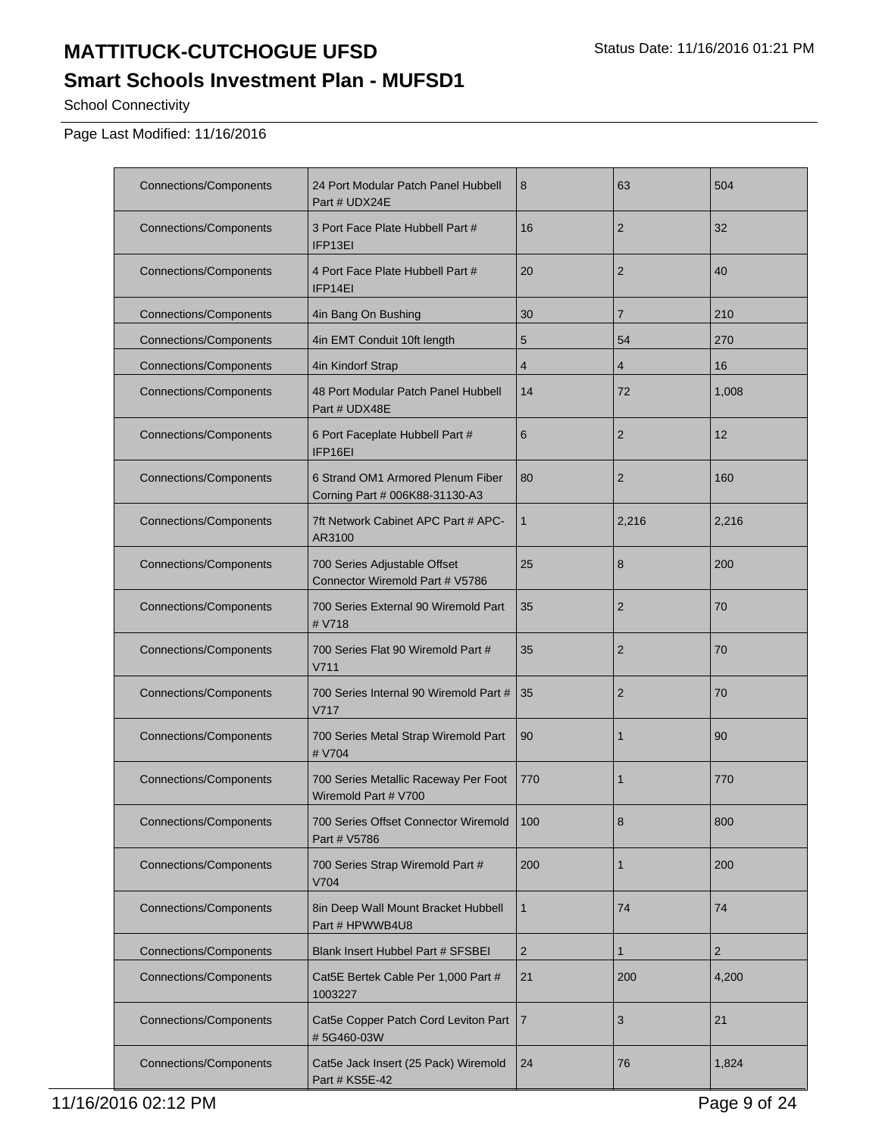# **Smart Schools Investment Plan - MUFSD1**

School Connectivity

| <b>Connections/Components</b> | 24 Port Modular Patch Panel Hubbell<br>Part # UDX24E                | 8              | 63             | 504            |
|-------------------------------|---------------------------------------------------------------------|----------------|----------------|----------------|
| <b>Connections/Components</b> | 3 Port Face Plate Hubbell Part #<br>IFP13EI                         | 16             | $\overline{2}$ | 32             |
| <b>Connections/Components</b> | 4 Port Face Plate Hubbell Part #<br>IFP14EI                         | 20             | $\overline{2}$ | 40             |
| <b>Connections/Components</b> | 4in Bang On Bushing                                                 | 30             | $\overline{7}$ | 210            |
| <b>Connections/Components</b> | 4in EMT Conduit 10ft length                                         | 5              | 54             | 270            |
| <b>Connections/Components</b> | 4in Kindorf Strap                                                   | $\overline{4}$ | 4              | 16             |
| <b>Connections/Components</b> | 48 Port Modular Patch Panel Hubbell<br>Part # UDX48E                | 14             | 72             | 1,008          |
| <b>Connections/Components</b> | 6 Port Faceplate Hubbell Part #<br>IFP16EI                          | 6              | $\overline{2}$ | 12             |
| <b>Connections/Components</b> | 6 Strand OM1 Armored Plenum Fiber<br>Corning Part # 006K88-31130-A3 | 80             | $\overline{2}$ | 160            |
| <b>Connections/Components</b> | 7ft Network Cabinet APC Part # APC-<br>AR3100                       | $\mathbf{1}$   | 2,216          | 2,216          |
| <b>Connections/Components</b> | 700 Series Adjustable Offset<br>Connector Wiremold Part # V5786     | 25             | 8              | 200            |
| <b>Connections/Components</b> | 700 Series External 90 Wiremold Part<br># V718                      | 35             | $\overline{2}$ | 70             |
| <b>Connections/Components</b> | 700 Series Flat 90 Wiremold Part #<br>V711                          | 35             | $\overline{2}$ | 70             |
| <b>Connections/Components</b> | 700 Series Internal 90 Wiremold Part #<br>V717                      | 35             | $\overline{2}$ | 70             |
| <b>Connections/Components</b> | 700 Series Metal Strap Wiremold Part<br># V704                      | 90             | 1              | 90             |
| <b>Connections/Components</b> | 700 Series Metallic Raceway Per Foot<br>Wiremold Part # V700        | 770            | 1              | 770            |
| <b>Connections/Components</b> | 700 Series Offset Connector Wiremold<br>Part # V5786                | 100            | 8              | 800            |
| <b>Connections/Components</b> | 700 Series Strap Wiremold Part #<br>V704                            | 200            | 1              | 200            |
| <b>Connections/Components</b> | 8in Deep Wall Mount Bracket Hubbell<br>Part # HPWWB4U8              | $\mathbf{1}$   | 74             | 74             |
| <b>Connections/Components</b> | Blank Insert Hubbel Part # SFSBEI                                   | $\overline{2}$ | 1              | $\overline{2}$ |
| <b>Connections/Components</b> | Cat5E Bertek Cable Per 1,000 Part #<br>1003227                      | 21             | 200            | 4,200          |
| <b>Connections/Components</b> | Cat5e Copper Patch Cord Leviton Part<br>#5G460-03W                  | $\overline{7}$ | 3              | 21             |
| <b>Connections/Components</b> | Cat5e Jack Insert (25 Pack) Wiremold<br>Part # KS5E-42              | 24             | 76             | 1,824          |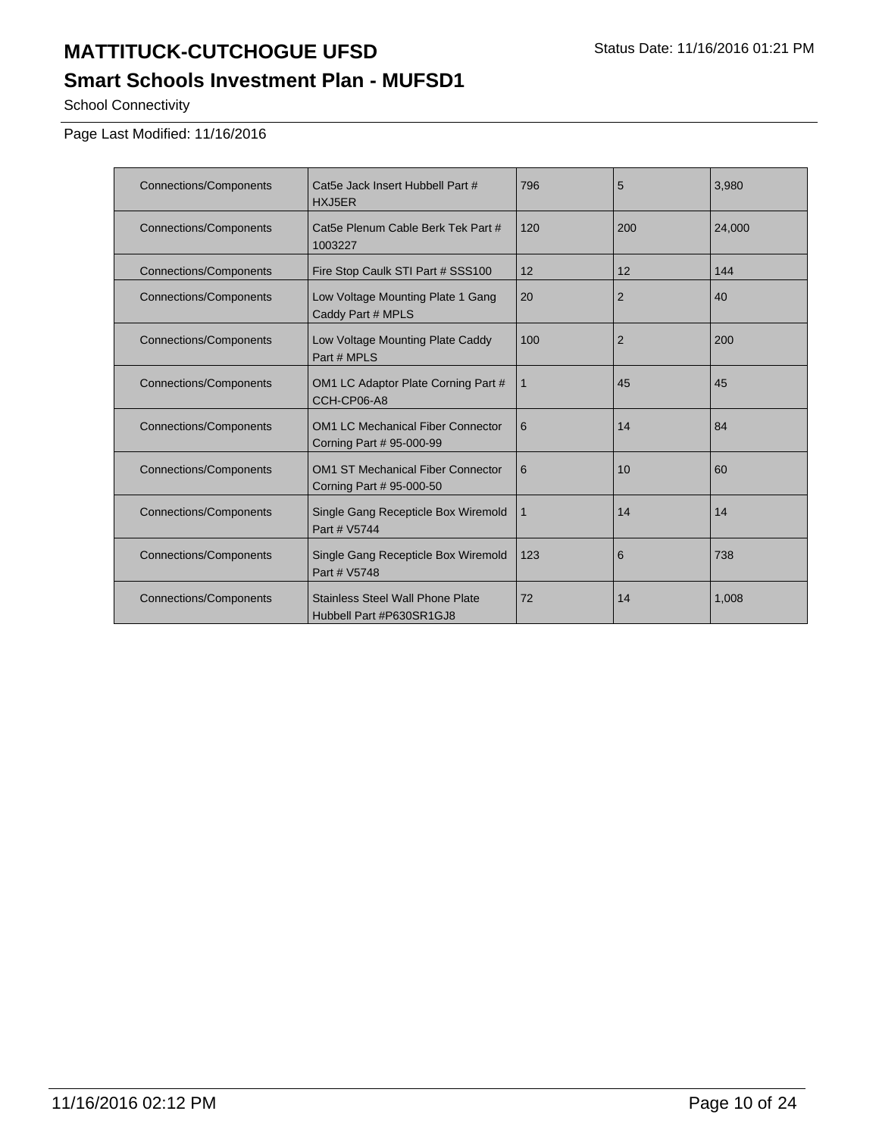# **Smart Schools Investment Plan - MUFSD1**

School Connectivity

| <b>Connections/Components</b> | Cat5e Jack Insert Hubbell Part #<br>HXJ5ER                           | 796 | 5              | 3,980  |
|-------------------------------|----------------------------------------------------------------------|-----|----------------|--------|
| <b>Connections/Components</b> | Cat5e Plenum Cable Berk Tek Part #<br>1003227                        | 120 | 200            | 24,000 |
| <b>Connections/Components</b> | Fire Stop Caulk STI Part # SSS100                                    | 12  | 12             | 144    |
| <b>Connections/Components</b> | Low Voltage Mounting Plate 1 Gang<br>Caddy Part # MPLS               | 20  | $\overline{2}$ | 40     |
| <b>Connections/Components</b> | Low Voltage Mounting Plate Caddy<br>Part # MPLS                      | 100 | $\overline{2}$ | 200    |
| <b>Connections/Components</b> | OM1 LC Adaptor Plate Corning Part #<br>CCH-CP06-A8                   | 1   | 45             | 45     |
| <b>Connections/Components</b> | <b>OM1 LC Mechanical Fiber Connector</b><br>Corning Part # 95-000-99 | 6   | 14             | 84     |
| <b>Connections/Components</b> | <b>OM1 ST Mechanical Fiber Connector</b><br>Corning Part # 95-000-50 | 6   | 10             | 60     |
| <b>Connections/Components</b> | Single Gang Recepticle Box Wiremold<br>Part # V5744                  | 1   | 14             | 14     |
| <b>Connections/Components</b> | Single Gang Recepticle Box Wiremold<br>Part # V5748                  | 123 | 6              | 738    |
| <b>Connections/Components</b> | <b>Stainless Steel Wall Phone Plate</b><br>Hubbell Part #P630SR1GJ8  | 72  | 14             | 1,008  |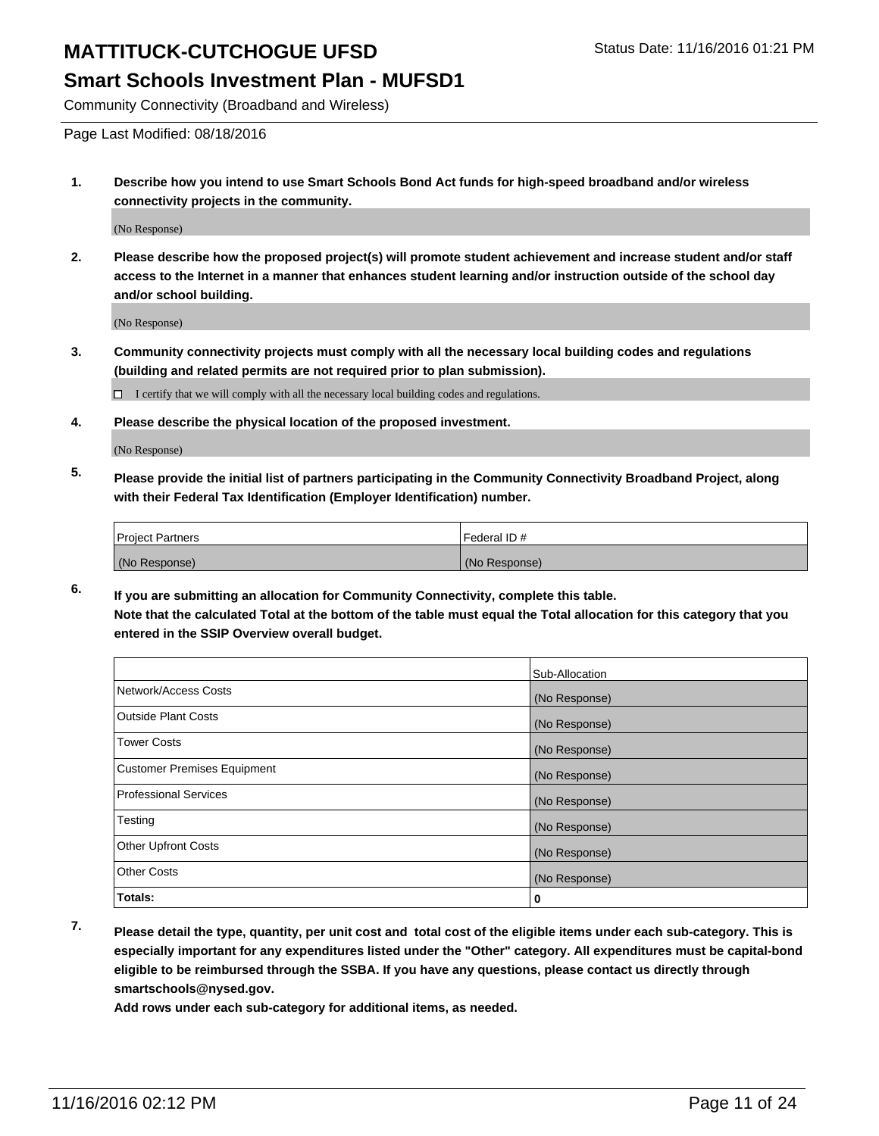Community Connectivity (Broadband and Wireless)

Page Last Modified: 08/18/2016

**1. Describe how you intend to use Smart Schools Bond Act funds for high-speed broadband and/or wireless connectivity projects in the community.**

(No Response)

**2. Please describe how the proposed project(s) will promote student achievement and increase student and/or staff access to the Internet in a manner that enhances student learning and/or instruction outside of the school day and/or school building.**

(No Response)

**3. Community connectivity projects must comply with all the necessary local building codes and regulations (building and related permits are not required prior to plan submission).**

 $\Box$  I certify that we will comply with all the necessary local building codes and regulations.

**4. Please describe the physical location of the proposed investment.**

(No Response)

**5. Please provide the initial list of partners participating in the Community Connectivity Broadband Project, along with their Federal Tax Identification (Employer Identification) number.**

| <b>Project Partners</b> | Federal ID#   |
|-------------------------|---------------|
| (No Response)           | (No Response) |

**6. If you are submitting an allocation for Community Connectivity, complete this table. Note that the calculated Total at the bottom of the table must equal the Total allocation for this category that you entered in the SSIP Overview overall budget.**

|                                    | Sub-Allocation |
|------------------------------------|----------------|
| Network/Access Costs               | (No Response)  |
| <b>Outside Plant Costs</b>         | (No Response)  |
| <b>Tower Costs</b>                 | (No Response)  |
| <b>Customer Premises Equipment</b> | (No Response)  |
| <b>Professional Services</b>       | (No Response)  |
| Testing                            | (No Response)  |
| <b>Other Upfront Costs</b>         | (No Response)  |
| <b>Other Costs</b>                 | (No Response)  |
| Totals:                            | 0              |

**7. Please detail the type, quantity, per unit cost and total cost of the eligible items under each sub-category. This is especially important for any expenditures listed under the "Other" category. All expenditures must be capital-bond eligible to be reimbursed through the SSBA. If you have any questions, please contact us directly through smartschools@nysed.gov.**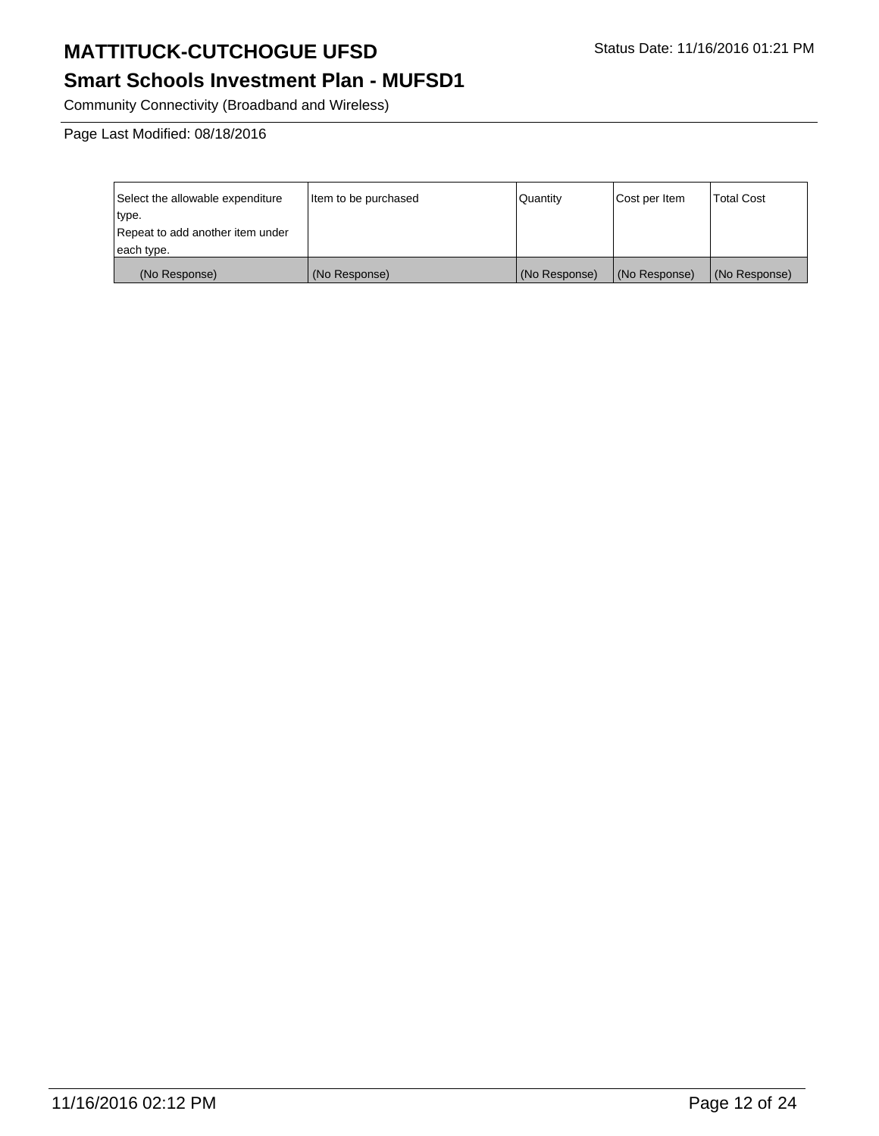# **Smart Schools Investment Plan - MUFSD1**

Community Connectivity (Broadband and Wireless)

Page Last Modified: 08/18/2016

| Select the allowable expenditure | litem to be purchased | Quantity      | Cost per Item | <b>Total Cost</b> |
|----------------------------------|-----------------------|---------------|---------------|-------------------|
| type.                            |                       |               |               |                   |
| Repeat to add another item under |                       |               |               |                   |
| each type.                       |                       |               |               |                   |
| (No Response)                    | (No Response)         | (No Response) | (No Response) | (No Response)     |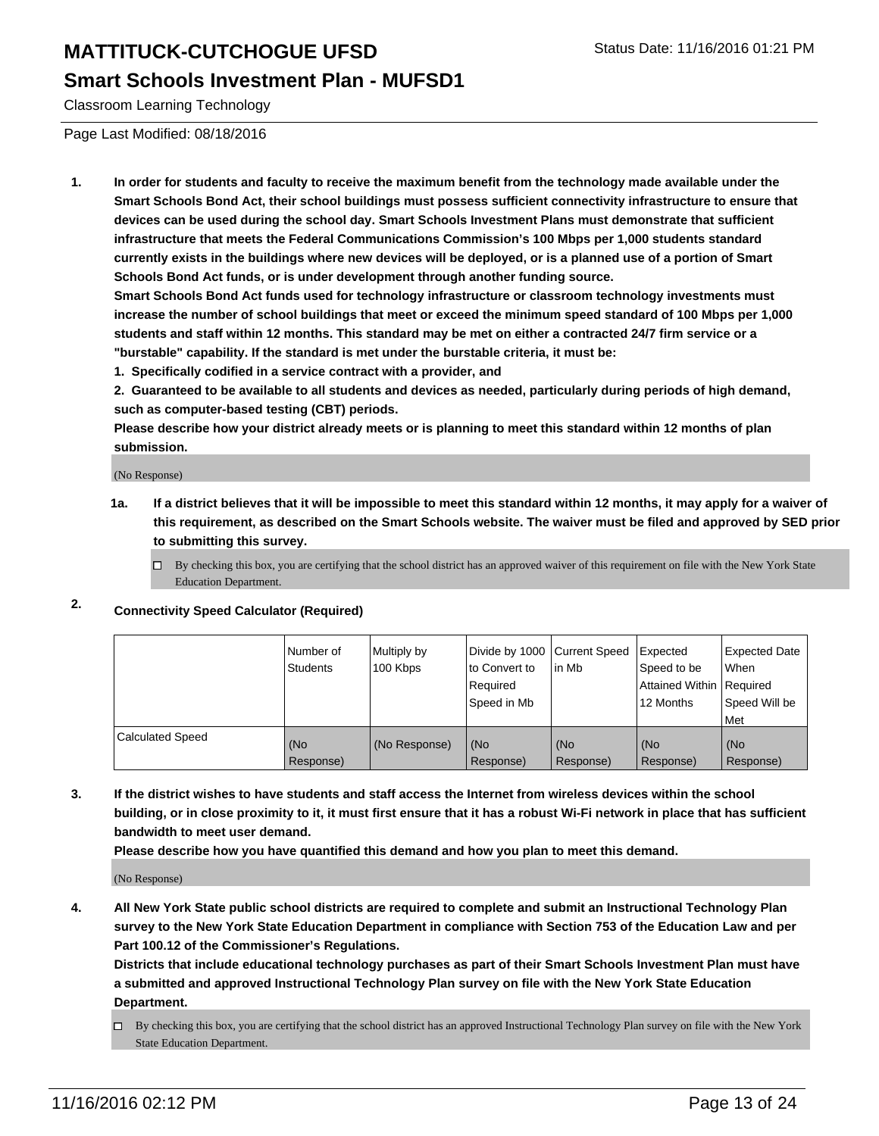#### **Smart Schools Investment Plan - MUFSD1**

Classroom Learning Technology

Page Last Modified: 08/18/2016

**1. In order for students and faculty to receive the maximum benefit from the technology made available under the Smart Schools Bond Act, their school buildings must possess sufficient connectivity infrastructure to ensure that devices can be used during the school day. Smart Schools Investment Plans must demonstrate that sufficient infrastructure that meets the Federal Communications Commission's 100 Mbps per 1,000 students standard currently exists in the buildings where new devices will be deployed, or is a planned use of a portion of Smart Schools Bond Act funds, or is under development through another funding source.**

**Smart Schools Bond Act funds used for technology infrastructure or classroom technology investments must increase the number of school buildings that meet or exceed the minimum speed standard of 100 Mbps per 1,000 students and staff within 12 months. This standard may be met on either a contracted 24/7 firm service or a "burstable" capability. If the standard is met under the burstable criteria, it must be:**

**1. Specifically codified in a service contract with a provider, and**

**2. Guaranteed to be available to all students and devices as needed, particularly during periods of high demand, such as computer-based testing (CBT) periods.**

**Please describe how your district already meets or is planning to meet this standard within 12 months of plan submission.**

(No Response)

- **1a. If a district believes that it will be impossible to meet this standard within 12 months, it may apply for a waiver of this requirement, as described on the Smart Schools website. The waiver must be filed and approved by SED prior to submitting this survey.**
	- $\Box$  By checking this box, you are certifying that the school district has an approved waiver of this requirement on file with the New York State Education Department.
- **2. Connectivity Speed Calculator (Required)**

|                         | l Number of<br>Students | Multiply by<br>100 Kbps | Divide by 1000 Current Speed<br>to Convert to<br>l Reauired<br>Speed in Mb | lin Mb           | Expected<br>Speed to be<br>Attained Within   Required<br>12 Months | Expected Date<br>l When<br>Speed Will be<br>l Met |
|-------------------------|-------------------------|-------------------------|----------------------------------------------------------------------------|------------------|--------------------------------------------------------------------|---------------------------------------------------|
| <b>Calculated Speed</b> | (No<br>Response)        | (No Response)           | (No<br>Response)                                                           | (No<br>Response) | (No<br>Response)                                                   | (No<br>Response)                                  |

**3. If the district wishes to have students and staff access the Internet from wireless devices within the school building, or in close proximity to it, it must first ensure that it has a robust Wi-Fi network in place that has sufficient bandwidth to meet user demand.**

**Please describe how you have quantified this demand and how you plan to meet this demand.**

(No Response)

**4. All New York State public school districts are required to complete and submit an Instructional Technology Plan survey to the New York State Education Department in compliance with Section 753 of the Education Law and per Part 100.12 of the Commissioner's Regulations.**

**Districts that include educational technology purchases as part of their Smart Schools Investment Plan must have a submitted and approved Instructional Technology Plan survey on file with the New York State Education Department.**

By checking this box, you are certifying that the school district has an approved Instructional Technology Plan survey on file with the New York State Education Department.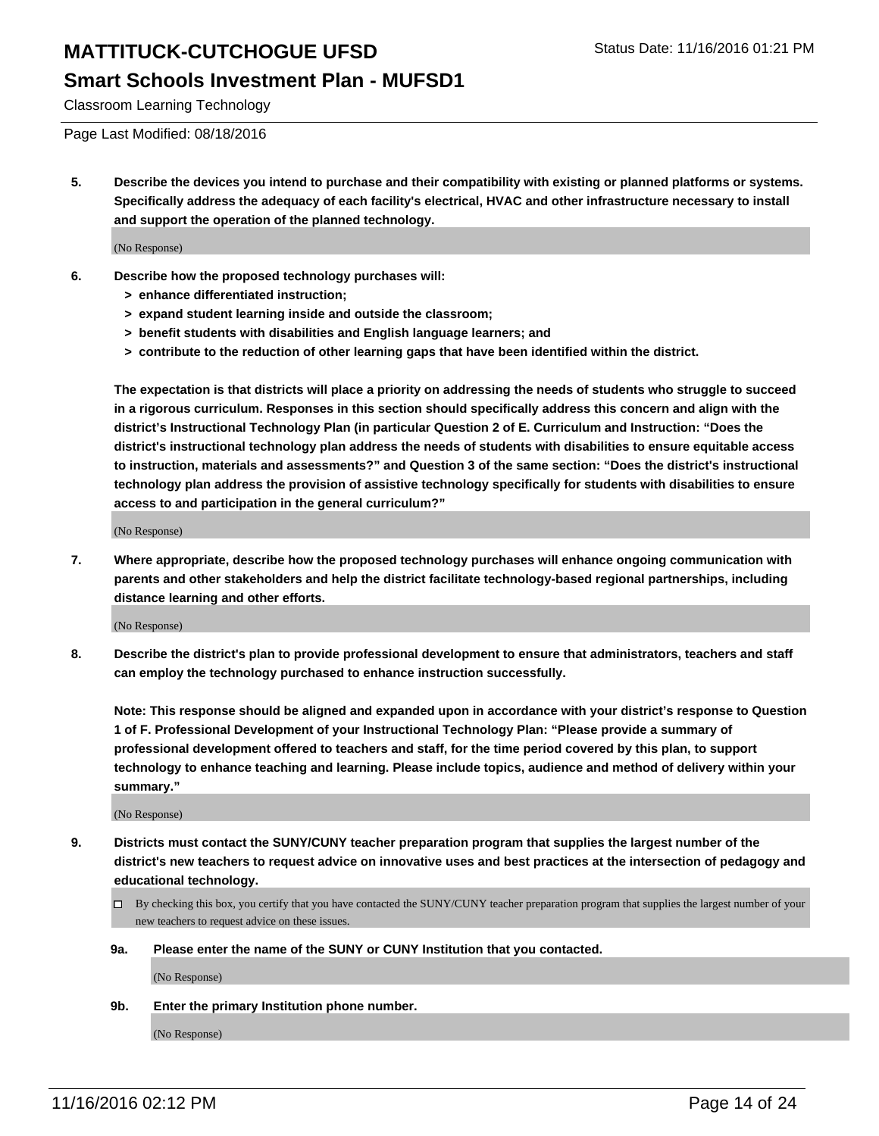Classroom Learning Technology

Page Last Modified: 08/18/2016

**5. Describe the devices you intend to purchase and their compatibility with existing or planned platforms or systems. Specifically address the adequacy of each facility's electrical, HVAC and other infrastructure necessary to install and support the operation of the planned technology.**

(No Response)

- **6. Describe how the proposed technology purchases will:**
	- **> enhance differentiated instruction;**
	- **> expand student learning inside and outside the classroom;**
	- **> benefit students with disabilities and English language learners; and**
	- **> contribute to the reduction of other learning gaps that have been identified within the district.**

**The expectation is that districts will place a priority on addressing the needs of students who struggle to succeed in a rigorous curriculum. Responses in this section should specifically address this concern and align with the district's Instructional Technology Plan (in particular Question 2 of E. Curriculum and Instruction: "Does the district's instructional technology plan address the needs of students with disabilities to ensure equitable access to instruction, materials and assessments?" and Question 3 of the same section: "Does the district's instructional technology plan address the provision of assistive technology specifically for students with disabilities to ensure access to and participation in the general curriculum?"**

(No Response)

**7. Where appropriate, describe how the proposed technology purchases will enhance ongoing communication with parents and other stakeholders and help the district facilitate technology-based regional partnerships, including distance learning and other efforts.**

(No Response)

**8. Describe the district's plan to provide professional development to ensure that administrators, teachers and staff can employ the technology purchased to enhance instruction successfully.**

**Note: This response should be aligned and expanded upon in accordance with your district's response to Question 1 of F. Professional Development of your Instructional Technology Plan: "Please provide a summary of professional development offered to teachers and staff, for the time period covered by this plan, to support technology to enhance teaching and learning. Please include topics, audience and method of delivery within your summary."**

(No Response)

- **9. Districts must contact the SUNY/CUNY teacher preparation program that supplies the largest number of the district's new teachers to request advice on innovative uses and best practices at the intersection of pedagogy and educational technology.**
	- $\Box$  By checking this box, you certify that you have contacted the SUNY/CUNY teacher preparation program that supplies the largest number of your new teachers to request advice on these issues.
	- **9a. Please enter the name of the SUNY or CUNY Institution that you contacted.**

(No Response)

**9b. Enter the primary Institution phone number.**

(No Response)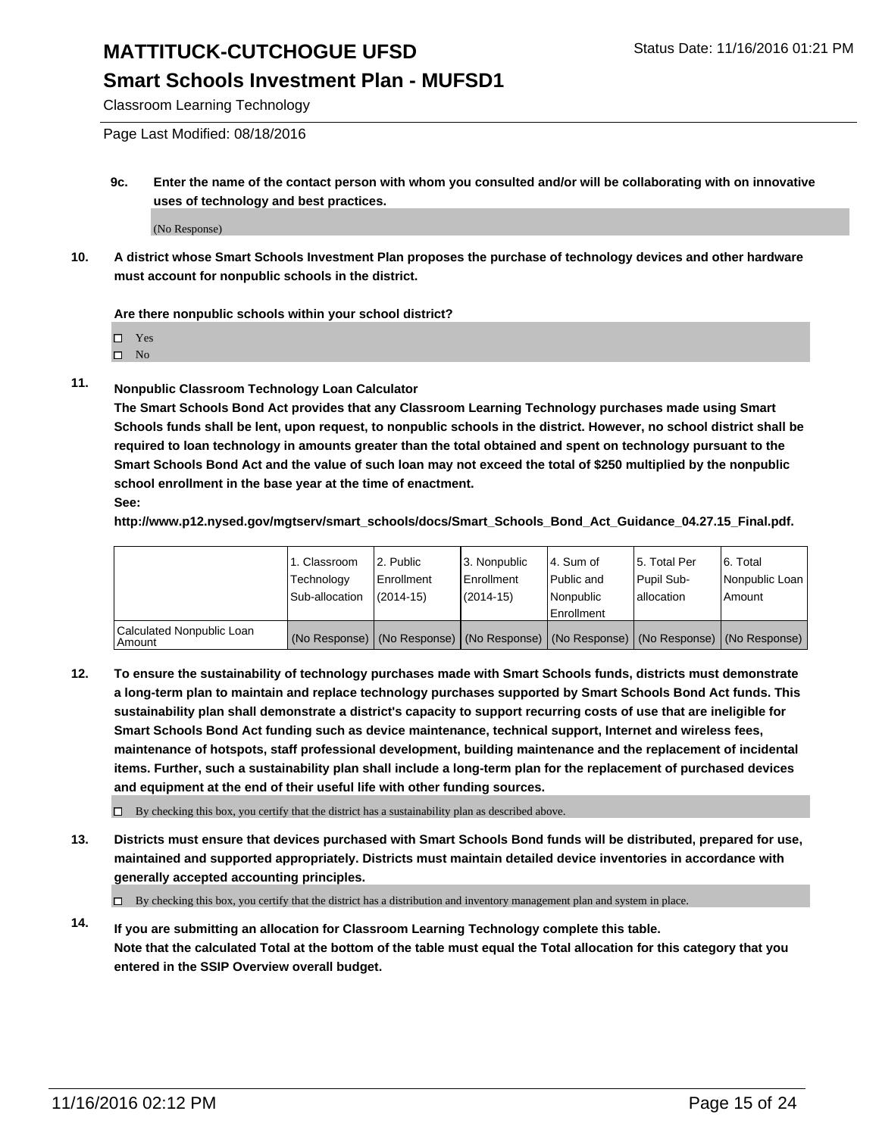#### **Smart Schools Investment Plan - MUFSD1**

Classroom Learning Technology

Page Last Modified: 08/18/2016

**9c. Enter the name of the contact person with whom you consulted and/or will be collaborating with on innovative uses of technology and best practices.**

(No Response)

**10. A district whose Smart Schools Investment Plan proposes the purchase of technology devices and other hardware must account for nonpublic schools in the district.**

#### **Are there nonpublic schools within your school district?**

□ Yes

 $\square$  No

**11. Nonpublic Classroom Technology Loan Calculator**

**The Smart Schools Bond Act provides that any Classroom Learning Technology purchases made using Smart Schools funds shall be lent, upon request, to nonpublic schools in the district. However, no school district shall be required to loan technology in amounts greater than the total obtained and spent on technology pursuant to the Smart Schools Bond Act and the value of such loan may not exceed the total of \$250 multiplied by the nonpublic school enrollment in the base year at the time of enactment. See:**

**http://www.p12.nysed.gov/mgtserv/smart\_schools/docs/Smart\_Schools\_Bond\_Act\_Guidance\_04.27.15\_Final.pdf.**

|                                         | 1. Classroom<br>Technology | 2. Public<br><b>Enrollment</b> | 3. Nonpublic<br>Enrollment                                                                    | l 4. Sum of<br>l Public and | 5. Total Per<br>Pupil Sub- | 6. Total<br>Nonpublic Loan |
|-----------------------------------------|----------------------------|--------------------------------|-----------------------------------------------------------------------------------------------|-----------------------------|----------------------------|----------------------------|
|                                         | Sub-allocation             | $(2014 - 15)$                  | $(2014-15)$                                                                                   | Nonpublic<br>Enrollment     | lallocation                | Amount                     |
| Calculated Nonpublic Loan<br>l Amount i |                            |                                | (No Response)   (No Response)   (No Response)   (No Response)   (No Response)   (No Response) |                             |                            |                            |

**12. To ensure the sustainability of technology purchases made with Smart Schools funds, districts must demonstrate a long-term plan to maintain and replace technology purchases supported by Smart Schools Bond Act funds. This sustainability plan shall demonstrate a district's capacity to support recurring costs of use that are ineligible for Smart Schools Bond Act funding such as device maintenance, technical support, Internet and wireless fees, maintenance of hotspots, staff professional development, building maintenance and the replacement of incidental items. Further, such a sustainability plan shall include a long-term plan for the replacement of purchased devices and equipment at the end of their useful life with other funding sources.**

 $\square$  By checking this box, you certify that the district has a sustainability plan as described above.

**13. Districts must ensure that devices purchased with Smart Schools Bond funds will be distributed, prepared for use, maintained and supported appropriately. Districts must maintain detailed device inventories in accordance with generally accepted accounting principles.**

By checking this box, you certify that the district has a distribution and inventory management plan and system in place.

**14. If you are submitting an allocation for Classroom Learning Technology complete this table. Note that the calculated Total at the bottom of the table must equal the Total allocation for this category that you entered in the SSIP Overview overall budget.**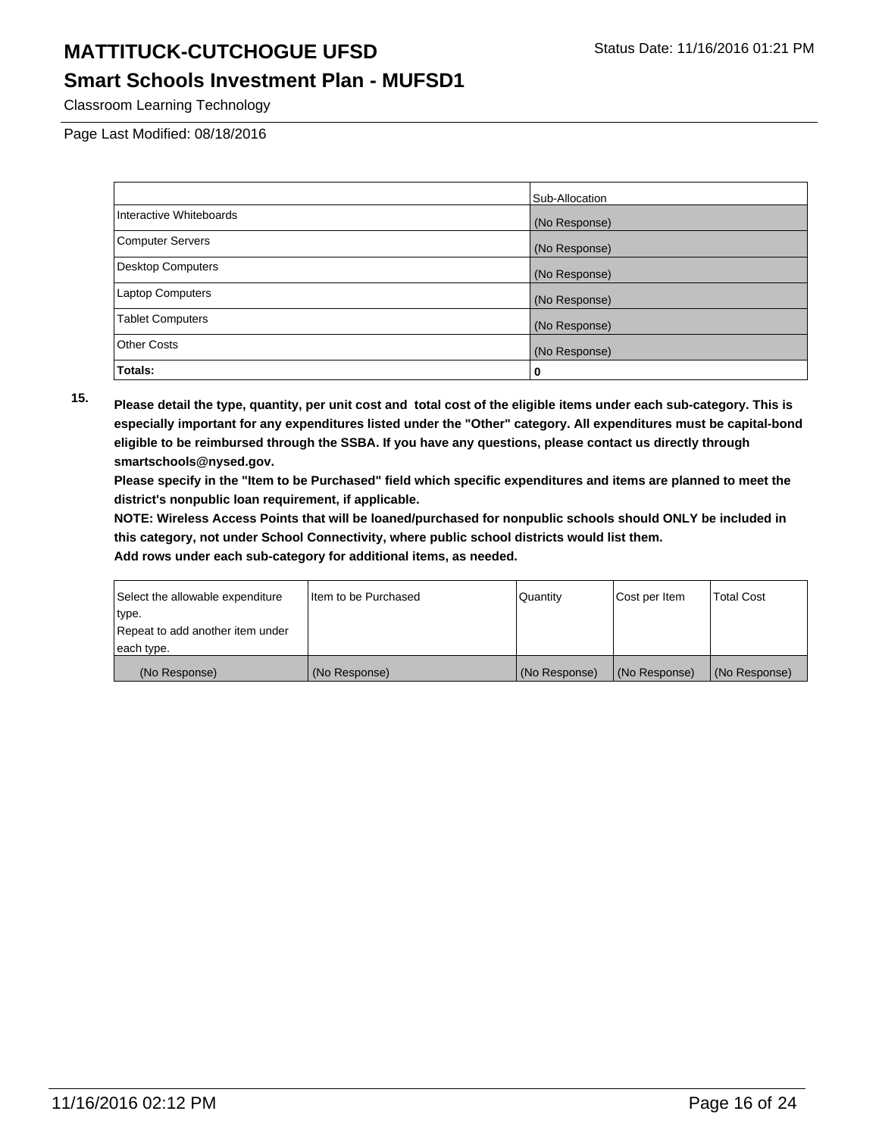#### **Smart Schools Investment Plan - MUFSD1**

Classroom Learning Technology

Page Last Modified: 08/18/2016

|                          | Sub-Allocation |
|--------------------------|----------------|
| Interactive Whiteboards  | (No Response)  |
| <b>Computer Servers</b>  | (No Response)  |
| <b>Desktop Computers</b> | (No Response)  |
| <b>Laptop Computers</b>  | (No Response)  |
| <b>Tablet Computers</b>  | (No Response)  |
| <b>Other Costs</b>       | (No Response)  |
| Totals:                  | 0              |

**15. Please detail the type, quantity, per unit cost and total cost of the eligible items under each sub-category. This is especially important for any expenditures listed under the "Other" category. All expenditures must be capital-bond eligible to be reimbursed through the SSBA. If you have any questions, please contact us directly through smartschools@nysed.gov.**

**Please specify in the "Item to be Purchased" field which specific expenditures and items are planned to meet the district's nonpublic loan requirement, if applicable.**

**NOTE: Wireless Access Points that will be loaned/purchased for nonpublic schools should ONLY be included in this category, not under School Connectivity, where public school districts would list them.**

| Select the allowable expenditure | Item to be Purchased | Quantity      | Cost per Item | <b>Total Cost</b> |
|----------------------------------|----------------------|---------------|---------------|-------------------|
| type.                            |                      |               |               |                   |
| Repeat to add another item under |                      |               |               |                   |
| each type.                       |                      |               |               |                   |
| (No Response)                    | (No Response)        | (No Response) | (No Response) | (No Response)     |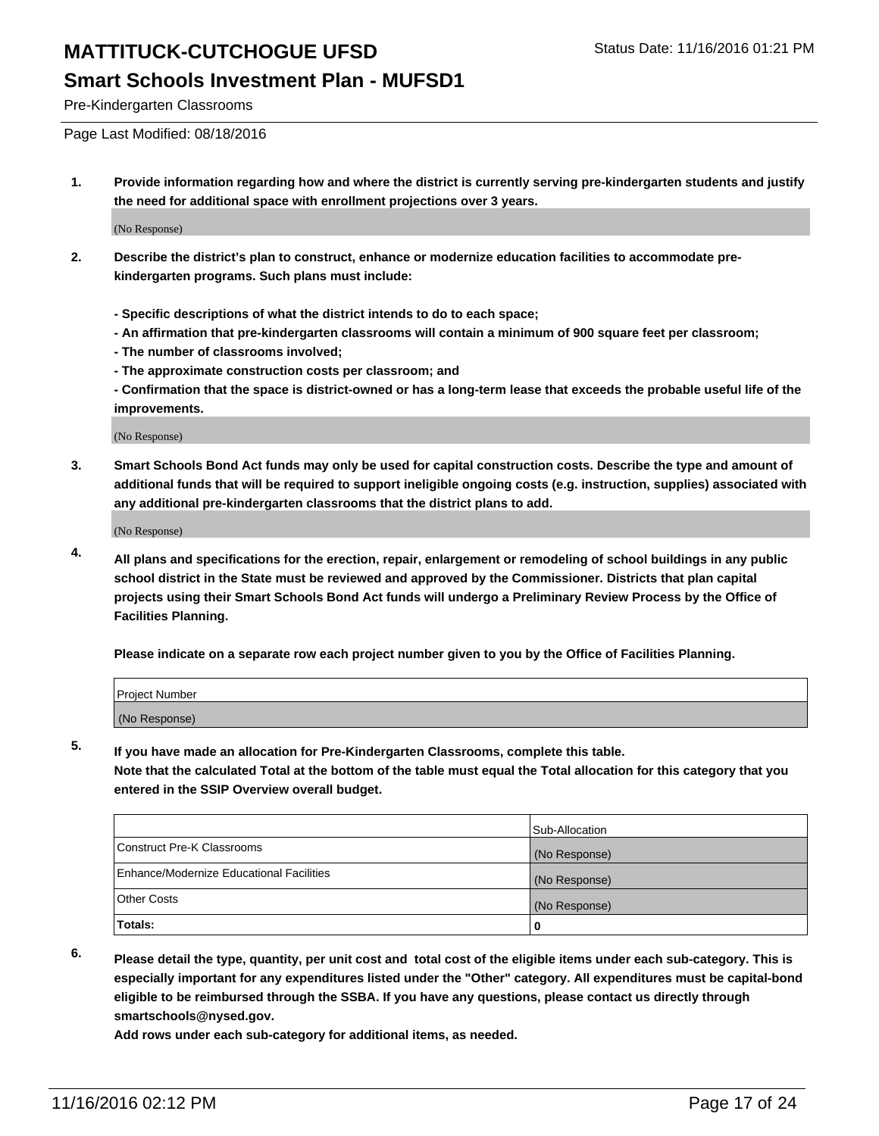Pre-Kindergarten Classrooms

Page Last Modified: 08/18/2016

**1. Provide information regarding how and where the district is currently serving pre-kindergarten students and justify the need for additional space with enrollment projections over 3 years.**

(No Response)

- **2. Describe the district's plan to construct, enhance or modernize education facilities to accommodate prekindergarten programs. Such plans must include:**
	- **Specific descriptions of what the district intends to do to each space;**
	- **An affirmation that pre-kindergarten classrooms will contain a minimum of 900 square feet per classroom;**
	- **The number of classrooms involved;**
	- **The approximate construction costs per classroom; and**
	- **Confirmation that the space is district-owned or has a long-term lease that exceeds the probable useful life of the improvements.**

(No Response)

**3. Smart Schools Bond Act funds may only be used for capital construction costs. Describe the type and amount of additional funds that will be required to support ineligible ongoing costs (e.g. instruction, supplies) associated with any additional pre-kindergarten classrooms that the district plans to add.**

(No Response)

**4. All plans and specifications for the erection, repair, enlargement or remodeling of school buildings in any public school district in the State must be reviewed and approved by the Commissioner. Districts that plan capital projects using their Smart Schools Bond Act funds will undergo a Preliminary Review Process by the Office of Facilities Planning.**

**Please indicate on a separate row each project number given to you by the Office of Facilities Planning.**

| Project Number |  |
|----------------|--|
| (No Response)  |  |

**5. If you have made an allocation for Pre-Kindergarten Classrooms, complete this table.**

**Note that the calculated Total at the bottom of the table must equal the Total allocation for this category that you entered in the SSIP Overview overall budget.**

|                                          | Sub-Allocation |
|------------------------------------------|----------------|
| Construct Pre-K Classrooms               | (No Response)  |
| Enhance/Modernize Educational Facilities | (No Response)  |
| Other Costs                              | (No Response)  |
| Totals:                                  |                |

**6. Please detail the type, quantity, per unit cost and total cost of the eligible items under each sub-category. This is especially important for any expenditures listed under the "Other" category. All expenditures must be capital-bond eligible to be reimbursed through the SSBA. If you have any questions, please contact us directly through smartschools@nysed.gov.**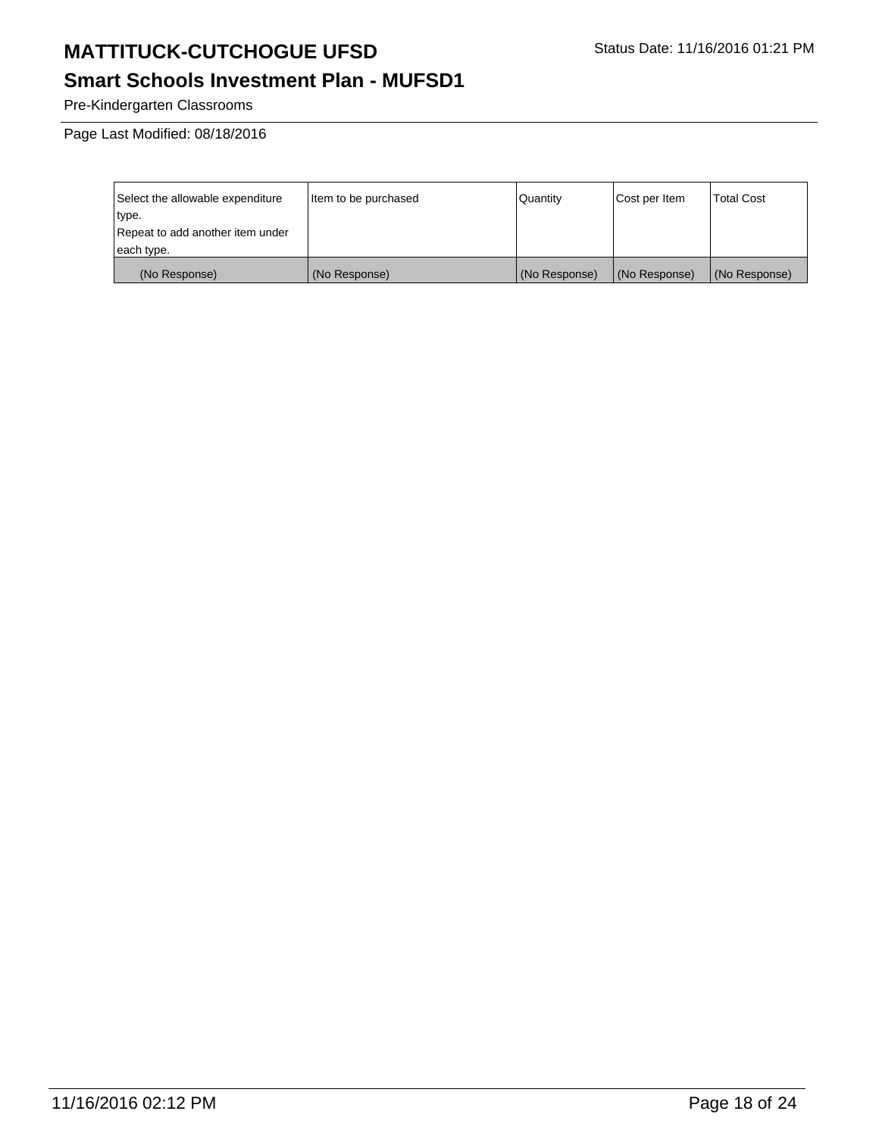# **Smart Schools Investment Plan - MUFSD1**

Pre-Kindergarten Classrooms

Page Last Modified: 08/18/2016

| Select the allowable expenditure | Item to be purchased | Quantity      | Cost per Item | <b>Total Cost</b> |
|----------------------------------|----------------------|---------------|---------------|-------------------|
| type.                            |                      |               |               |                   |
| Repeat to add another item under |                      |               |               |                   |
| each type.                       |                      |               |               |                   |
| (No Response)                    | (No Response)        | (No Response) | (No Response) | (No Response)     |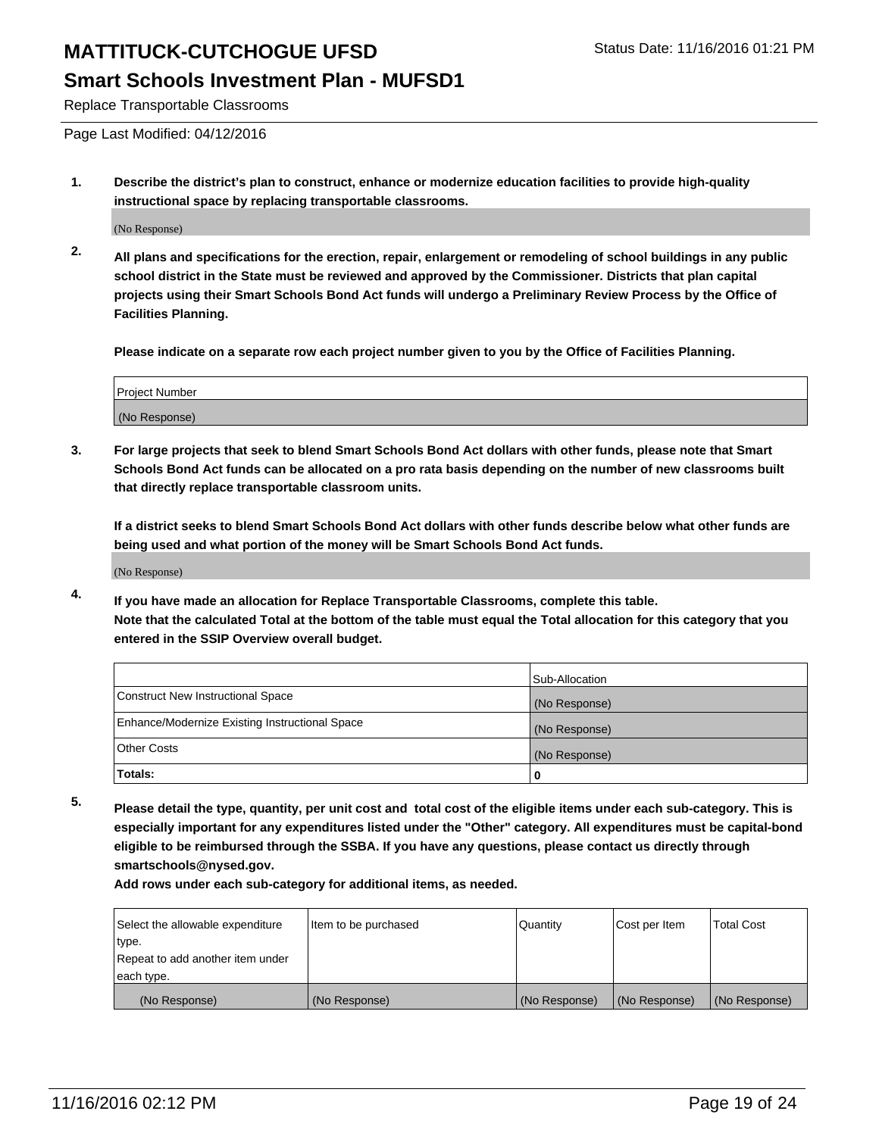#### **Smart Schools Investment Plan - MUFSD1**

Replace Transportable Classrooms

Page Last Modified: 04/12/2016

**1. Describe the district's plan to construct, enhance or modernize education facilities to provide high-quality instructional space by replacing transportable classrooms.**

(No Response)

**2. All plans and specifications for the erection, repair, enlargement or remodeling of school buildings in any public school district in the State must be reviewed and approved by the Commissioner. Districts that plan capital projects using their Smart Schools Bond Act funds will undergo a Preliminary Review Process by the Office of Facilities Planning.**

**Please indicate on a separate row each project number given to you by the Office of Facilities Planning.**

| Project Number |  |
|----------------|--|
| (No Response)  |  |

**3. For large projects that seek to blend Smart Schools Bond Act dollars with other funds, please note that Smart Schools Bond Act funds can be allocated on a pro rata basis depending on the number of new classrooms built that directly replace transportable classroom units.**

**If a district seeks to blend Smart Schools Bond Act dollars with other funds describe below what other funds are being used and what portion of the money will be Smart Schools Bond Act funds.**

(No Response)

**4. If you have made an allocation for Replace Transportable Classrooms, complete this table. Note that the calculated Total at the bottom of the table must equal the Total allocation for this category that you entered in the SSIP Overview overall budget.**

|                                                | Sub-Allocation |
|------------------------------------------------|----------------|
| Construct New Instructional Space              | (No Response)  |
| Enhance/Modernize Existing Instructional Space | (No Response)  |
| Other Costs                                    | (No Response)  |
| Totals:                                        | 0              |

**5. Please detail the type, quantity, per unit cost and total cost of the eligible items under each sub-category. This is especially important for any expenditures listed under the "Other" category. All expenditures must be capital-bond eligible to be reimbursed through the SSBA. If you have any questions, please contact us directly through smartschools@nysed.gov.**

| Select the allowable expenditure | Item to be purchased | Quantity      | Cost per Item | Total Cost    |
|----------------------------------|----------------------|---------------|---------------|---------------|
| type.                            |                      |               |               |               |
| Repeat to add another item under |                      |               |               |               |
| each type.                       |                      |               |               |               |
| (No Response)                    | (No Response)        | (No Response) | (No Response) | (No Response) |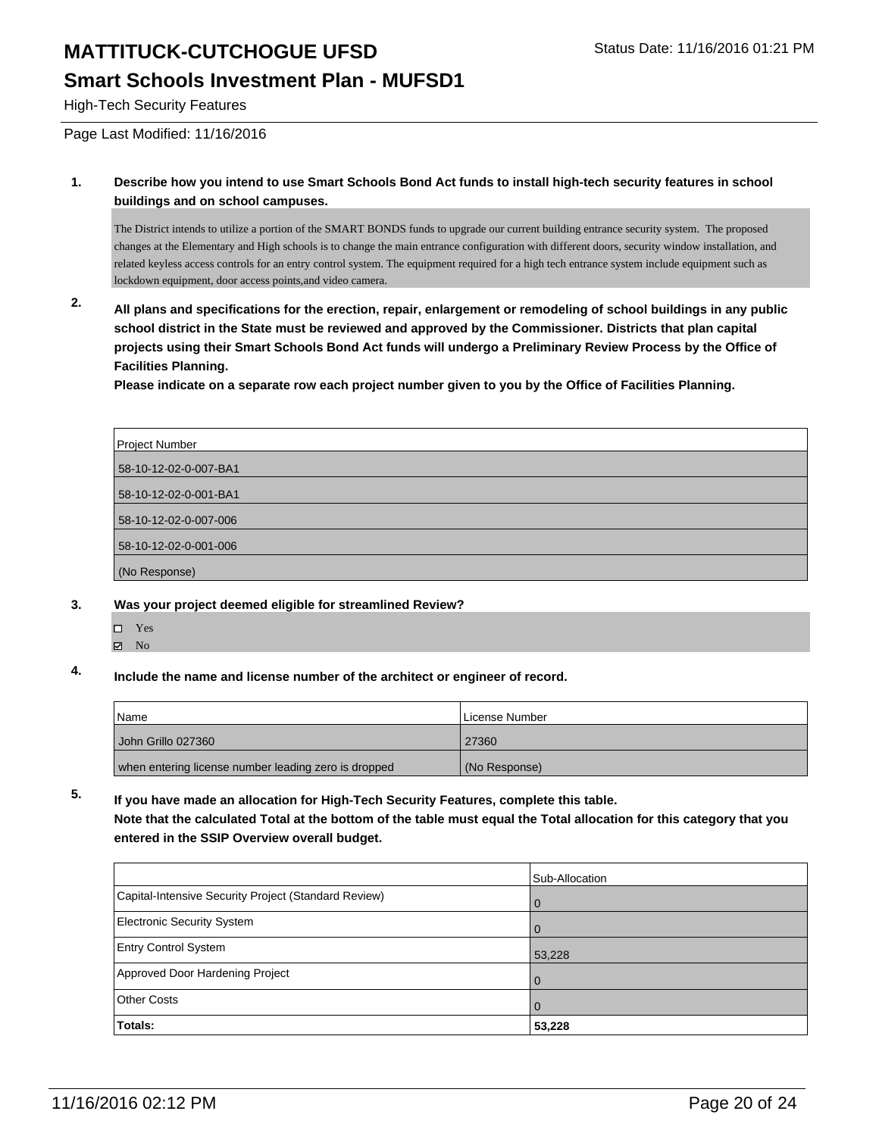#### **Smart Schools Investment Plan - MUFSD1**

High-Tech Security Features

Page Last Modified: 11/16/2016

**1. Describe how you intend to use Smart Schools Bond Act funds to install high-tech security features in school buildings and on school campuses.**

The District intends to utilize a portion of the SMART BONDS funds to upgrade our current building entrance security system. The proposed changes at the Elementary and High schools is to change the main entrance configuration with different doors, security window installation, and related keyless access controls for an entry control system. The equipment required for a high tech entrance system include equipment such as lockdown equipment, door access points,and video camera.

**2. All plans and specifications for the erection, repair, enlargement or remodeling of school buildings in any public school district in the State must be reviewed and approved by the Commissioner. Districts that plan capital projects using their Smart Schools Bond Act funds will undergo a Preliminary Review Process by the Office of Facilities Planning.** 

**Please indicate on a separate row each project number given to you by the Office of Facilities Planning.**

| Project Number        |
|-----------------------|
| 58-10-12-02-0-007-BA1 |
| 58-10-12-02-0-001-BA1 |
| 58-10-12-02-0-007-006 |
| 58-10-12-02-0-001-006 |
| (No Response)         |

#### **3. Was your project deemed eligible for streamlined Review?**

- □ Yes
- **Z** No
- **4. Include the name and license number of the architect or engineer of record.**

| l Name                                               | License Number |
|------------------------------------------------------|----------------|
| l John Grillo 027360                                 | 27360          |
| when entering license number leading zero is dropped | (No Response)  |

#### **5. If you have made an allocation for High-Tech Security Features, complete this table.**

**Note that the calculated Total at the bottom of the table must equal the Total allocation for this category that you entered in the SSIP Overview overall budget.**

|                                                      | Sub-Allocation |
|------------------------------------------------------|----------------|
| Capital-Intensive Security Project (Standard Review) | $\overline{0}$ |
| <b>Electronic Security System</b>                    | $\overline{0}$ |
| <b>Entry Control System</b>                          | 53,228         |
| Approved Door Hardening Project                      | $\Omega$       |
| <b>Other Costs</b>                                   | l 0            |
| Totals:                                              | 53,228         |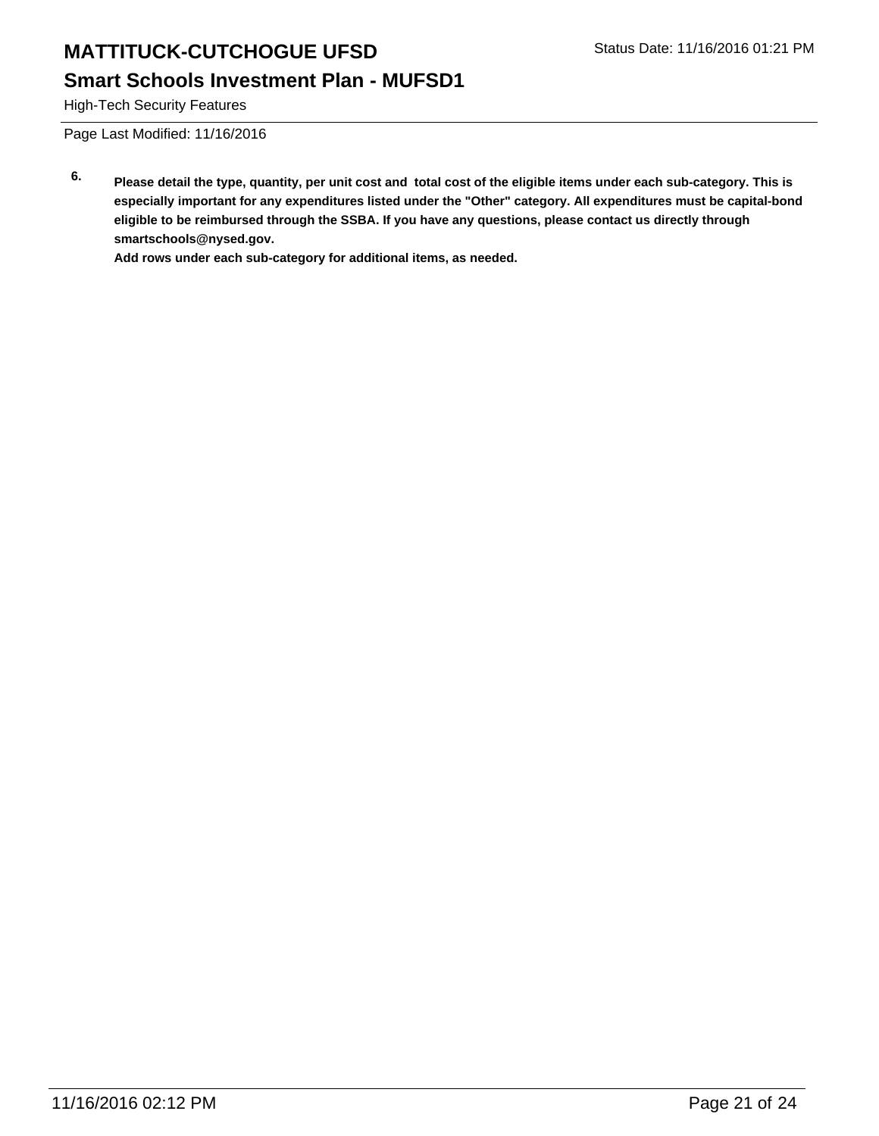# **Smart Schools Investment Plan - MUFSD1**

High-Tech Security Features

Page Last Modified: 11/16/2016

**6. Please detail the type, quantity, per unit cost and total cost of the eligible items under each sub-category. This is especially important for any expenditures listed under the "Other" category. All expenditures must be capital-bond eligible to be reimbursed through the SSBA. If you have any questions, please contact us directly through smartschools@nysed.gov.**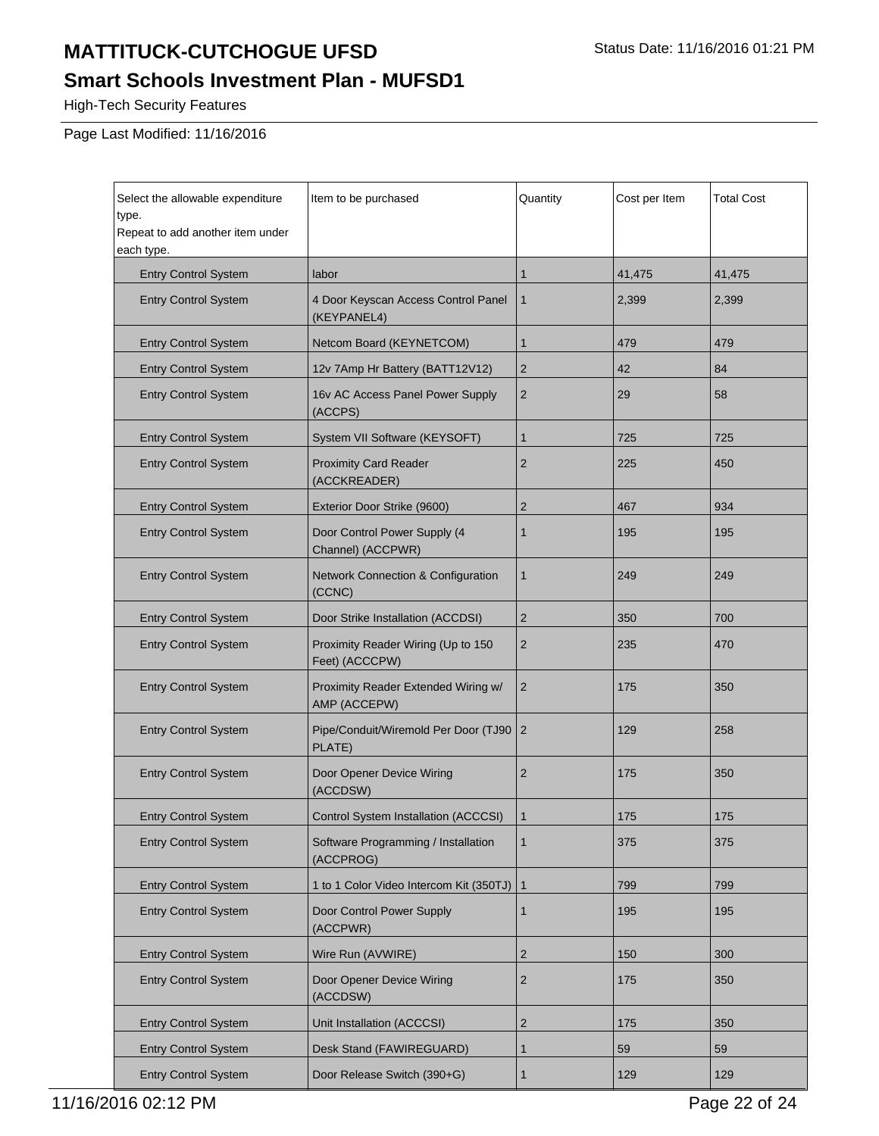# **Smart Schools Investment Plan - MUFSD1**

High-Tech Security Features

Page Last Modified: 11/16/2016

| Select the allowable expenditure<br>type.<br>Repeat to add another item under | Item to be purchased                                 | Quantity       | Cost per Item | <b>Total Cost</b> |
|-------------------------------------------------------------------------------|------------------------------------------------------|----------------|---------------|-------------------|
| each type.<br><b>Entry Control System</b>                                     | labor                                                | 1              | 41,475        | 41,475            |
| <b>Entry Control System</b>                                                   | 4 Door Keyscan Access Control Panel<br>(KEYPANEL4)   | $\mathbf{1}$   | 2,399         | 2,399             |
| <b>Entry Control System</b>                                                   | Netcom Board (KEYNETCOM)                             | $\mathbf{1}$   | 479           | 479               |
| <b>Entry Control System</b>                                                   | 12v 7Amp Hr Battery (BATT12V12)                      | $\overline{2}$ | 42            | 84                |
| <b>Entry Control System</b>                                                   | 16v AC Access Panel Power Supply<br>(ACCPS)          | $\overline{2}$ | 29            | 58                |
| <b>Entry Control System</b>                                                   | System VII Software (KEYSOFT)                        | $\mathbf{1}$   | 725           | 725               |
| <b>Entry Control System</b>                                                   | <b>Proximity Card Reader</b><br>(ACCKREADER)         | $\overline{2}$ | 225           | 450               |
| <b>Entry Control System</b>                                                   | Exterior Door Strike (9600)                          | $\overline{2}$ | 467           | 934               |
| <b>Entry Control System</b>                                                   | Door Control Power Supply (4<br>Channel) (ACCPWR)    | $\mathbf{1}$   | 195           | 195               |
| <b>Entry Control System</b>                                                   | Network Connection & Configuration<br>(CCNC)         | $\mathbf{1}$   | 249           | 249               |
| <b>Entry Control System</b>                                                   | Door Strike Installation (ACCDSI)                    | $\overline{2}$ | 350           | 700               |
| <b>Entry Control System</b>                                                   | Proximity Reader Wiring (Up to 150<br>Feet) (ACCCPW) | $\overline{2}$ | 235           | 470               |
| <b>Entry Control System</b>                                                   | Proximity Reader Extended Wiring w/<br>AMP (ACCEPW)  | $\overline{2}$ | 175           | 350               |
| <b>Entry Control System</b>                                                   | Pipe/Conduit/Wiremold Per Door (TJ90<br>PLATE)       | $\overline{2}$ | 129           | 258               |
| <b>Entry Control System</b>                                                   | Door Opener Device Wiring<br>(ACCDSW)                | $\overline{2}$ | 175           | 350               |
| <b>Entry Control System</b>                                                   | Control System Installation (ACCCSI)                 | $\mathbf{1}$   | 175           | 175               |
| <b>Entry Control System</b>                                                   | Software Programming / Installation<br>(ACCPROG)     | $\mathbf{1}$   | 375           | 375               |
| <b>Entry Control System</b>                                                   | 1 to 1 Color Video Intercom Kit (350TJ)              | $\mathbf{1}$   | 799           | 799               |
| <b>Entry Control System</b>                                                   | Door Control Power Supply<br>(ACCPWR)                | $\mathbf{1}$   | 195           | 195               |
| <b>Entry Control System</b>                                                   | Wire Run (AVWIRE)                                    | $\overline{2}$ | 150           | 300               |
| <b>Entry Control System</b>                                                   | Door Opener Device Wiring<br>(ACCDSW)                | 2              | 175           | 350               |
| <b>Entry Control System</b>                                                   | Unit Installation (ACCCSI)                           | $\overline{2}$ | 175           | 350               |
| <b>Entry Control System</b>                                                   | Desk Stand (FAWIREGUARD)                             | $\mathbf{1}$   | 59            | 59                |
| <b>Entry Control System</b>                                                   | Door Release Switch (390+G)                          | $\mathbf{1}$   | 129           | 129               |

11/16/2016 02:12 PM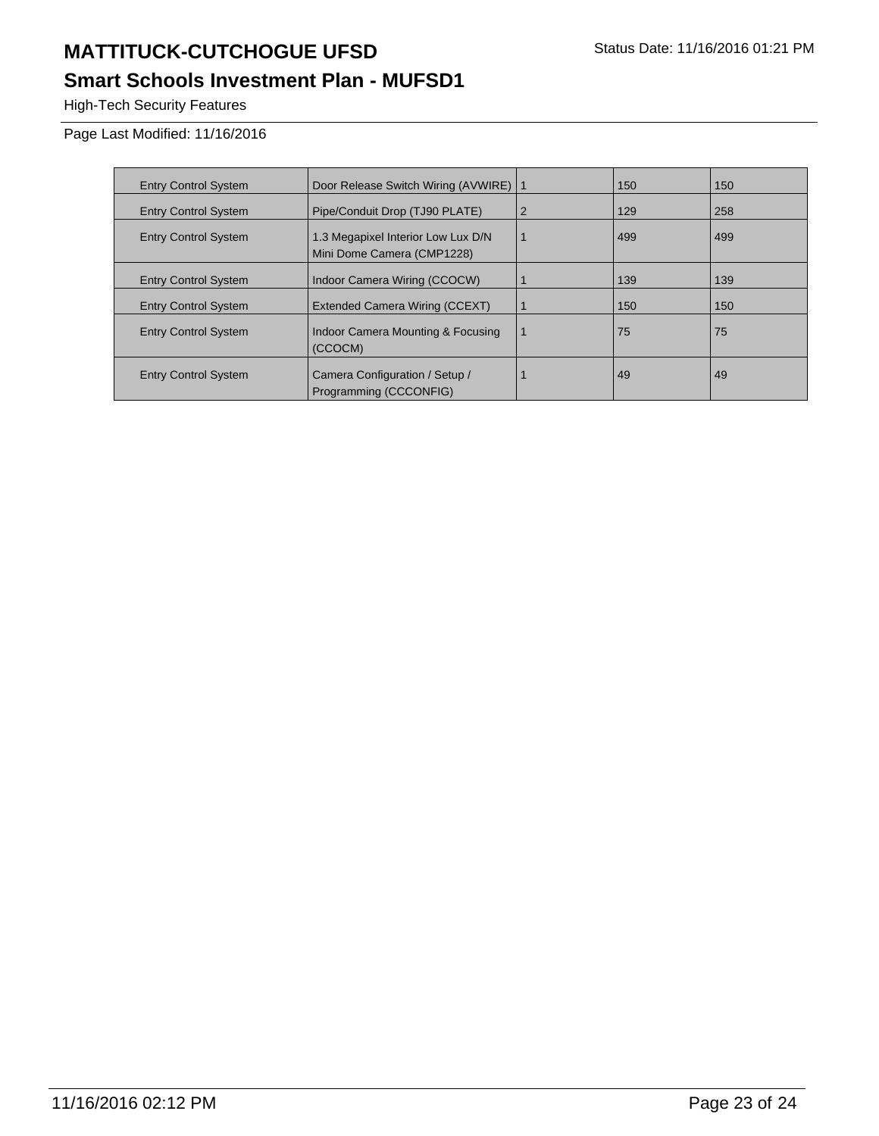# **Smart Schools Investment Plan - MUFSD1**

High-Tech Security Features

| <b>Entry Control System</b> | Door Release Switch Wiring (AVWIRE)   1                          |                | 150 | 150 |
|-----------------------------|------------------------------------------------------------------|----------------|-----|-----|
| <b>Entry Control System</b> | Pipe/Conduit Drop (TJ90 PLATE)                                   | $\overline{2}$ | 129 | 258 |
| <b>Entry Control System</b> | 1.3 Megapixel Interior Low Lux D/N<br>Mini Dome Camera (CMP1228) |                | 499 | 499 |
| <b>Entry Control System</b> | Indoor Camera Wiring (CCOCW)                                     |                | 139 | 139 |
| <b>Entry Control System</b> | Extended Camera Wiring (CCEXT)                                   |                | 150 | 150 |
| <b>Entry Control System</b> | Indoor Camera Mounting & Focusing<br>(CCOCM)                     | -1             | 75  | 75  |
| <b>Entry Control System</b> | Camera Configuration / Setup /<br>Programming (CCCONFIG)         |                | 49  | 49  |